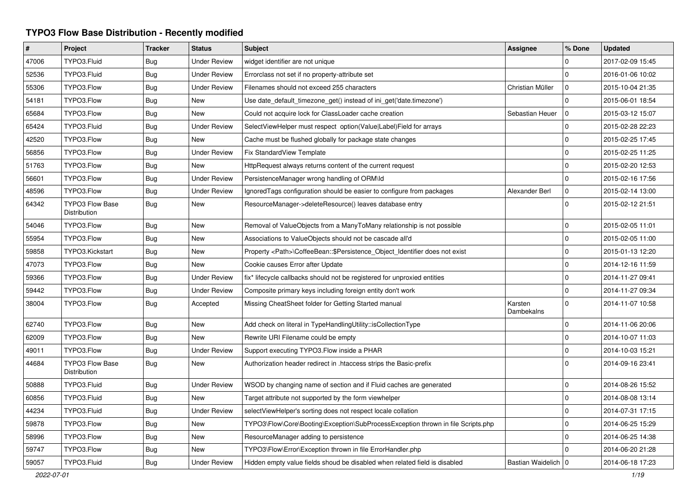## **TYPO3 Flow Base Distribution - Recently modified**

| $\sharp$ | Project                                | <b>Tracker</b> | <b>Status</b>       | <b>Subject</b>                                                                    | <b>Assignee</b>       | % Done              | <b>Updated</b>   |
|----------|----------------------------------------|----------------|---------------------|-----------------------------------------------------------------------------------|-----------------------|---------------------|------------------|
| 47006    | TYPO3.Fluid                            | Bug            | <b>Under Review</b> | widget identifier are not unique                                                  |                       | 0                   | 2017-02-09 15:45 |
| 52536    | TYPO3.Fluid                            | Bug            | <b>Under Review</b> | Errorclass not set if no property-attribute set                                   |                       | $\Omega$            | 2016-01-06 10:02 |
| 55306    | TYPO3.Flow                             | Bug            | <b>Under Review</b> | Filenames should not exceed 255 characters                                        | Christian Müller      | $\mathbf{0}$        | 2015-10-04 21:35 |
| 54181    | TYPO3.Flow                             | Bug            | New                 | Use date_default_timezone_get() instead of ini_get('date.timezone')               |                       | $\mathbf 0$         | 2015-06-01 18:54 |
| 65684    | TYPO3.Flow                             | <b>Bug</b>     | <b>New</b>          | Could not acquire lock for ClassLoader cache creation                             | Sebastian Heuer       | $\mathbf 0$         | 2015-03-12 15:07 |
| 65424    | TYPO3.Fluid                            | Bug            | <b>Under Review</b> | SelectViewHelper must respect option(Value Label)Field for arrays                 |                       | $\mathbf 0$         | 2015-02-28 22:23 |
| 42520    | TYPO3.Flow                             | <b>Bug</b>     | <b>New</b>          | Cache must be flushed globally for package state changes                          |                       | $\mathsf{O}\xspace$ | 2015-02-25 17:45 |
| 56856    | TYPO3.Flow                             | Bug            | <b>Under Review</b> | Fix StandardView Template                                                         |                       | $\mathbf 0$         | 2015-02-25 11:25 |
| 51763    | TYPO3.Flow                             | <b>Bug</b>     | <b>New</b>          | HttpRequest always returns content of the current request                         |                       | $\Omega$            | 2015-02-20 12:53 |
| 56601    | TYPO3.Flow                             | <b>Bug</b>     | <b>Under Review</b> | PersistenceManager wrong handling of ORM\ld                                       |                       | $\mathbf 0$         | 2015-02-16 17:56 |
| 48596    | TYPO3.Flow                             | Bug            | <b>Under Review</b> | Ignored Tags configuration should be easier to configure from packages            | Alexander Berl        | $\mathbf 0$         | 2015-02-14 13:00 |
| 64342    | <b>TYPO3 Flow Base</b><br>Distribution | Bug            | <b>New</b>          | ResourceManager->deleteResource() leaves database entry                           |                       | $\mathbf 0$         | 2015-02-12 21:51 |
| 54046    | TYPO3.Flow                             | Bug            | <b>New</b>          | Removal of ValueObjects from a ManyToMany relationship is not possible            |                       | $\mathsf{O}\xspace$ | 2015-02-05 11:01 |
| 55954    | TYPO3.Flow                             | Bug            | <b>New</b>          | Associations to ValueObjects should not be cascade all'd                          |                       | $\mathsf{O}\xspace$ | 2015-02-05 11:00 |
| 59858    | TYPO3.Kickstart                        | Bug            | <b>New</b>          | Property <path>\CoffeeBean::\$Persistence_Object_Identifier does not exist</path> |                       | $\mathbf 0$         | 2015-01-13 12:20 |
| 47073    | TYPO3.Flow                             | Bug            | New                 | Cookie causes Error after Update                                                  |                       | $\pmb{0}$           | 2014-12-16 11:59 |
| 59366    | TYPO3.Flow                             | <b>Bug</b>     | <b>Under Review</b> | fix* lifecycle callbacks should not be registered for unproxied entities          |                       | $\mathbf 0$         | 2014-11-27 09:41 |
| 59442    | TYPO3.Flow                             | Bug            | <b>Under Review</b> | Composite primary keys including foreign entity don't work                        |                       | $\mathbf 0$         | 2014-11-27 09:34 |
| 38004    | TYPO3.Flow                             | Bug            | Accepted            | Missing CheatSheet folder for Getting Started manual                              | Karsten<br>Dambekalns | $\mathbf 0$         | 2014-11-07 10:58 |
| 62740    | TYPO3.Flow                             | Bug            | New                 | Add check on literal in TypeHandlingUtility::isCollectionType                     |                       | $\mathbf 0$         | 2014-11-06 20:06 |
| 62009    | TYPO3.Flow                             | <b>Bug</b>     | <b>New</b>          | Rewrite URI Filename could be empty                                               |                       | $\mathbf 0$         | 2014-10-07 11:03 |
| 49011    | TYPO3.Flow                             | Bug            | <b>Under Review</b> | Support executing TYPO3. Flow inside a PHAR                                       |                       | $\mathsf{O}\xspace$ | 2014-10-03 15:21 |
| 44684    | <b>TYPO3 Flow Base</b><br>Distribution | <b>Bug</b>     | <b>New</b>          | Authorization header redirect in .htaccess strips the Basic-prefix                |                       | $\mathbf 0$         | 2014-09-16 23:41 |
| 50888    | TYPO3.Fluid                            | Bug            | <b>Under Review</b> | WSOD by changing name of section and if Fluid caches are generated                |                       | $\mathbf 0$         | 2014-08-26 15:52 |
| 60856    | TYPO3.Fluid                            | <b>Bug</b>     | <b>New</b>          | Target attribute not supported by the form viewhelper                             |                       | $\mathbf 0$         | 2014-08-08 13:14 |
| 44234    | TYPO3.Fluid                            | Bug            | <b>Under Review</b> | selectViewHelper's sorting does not respect locale collation                      |                       | $\mathbf 0$         | 2014-07-31 17:15 |
| 59878    | TYPO3.Flow                             | <b>Bug</b>     | <b>New</b>          | TYPO3\Flow\Core\Booting\Exception\SubProcessException thrown in file Scripts.php  |                       | $\mathbf 0$         | 2014-06-25 15:29 |
| 58996    | TYPO3.Flow                             | Bug            | New                 | ResourceManager adding to persistence                                             |                       | $\mathbf 0$         | 2014-06-25 14:38 |
| 59747    | TYPO3.Flow                             | <b>Bug</b>     | <b>New</b>          | TYPO3\Flow\Error\Exception thrown in file ErrorHandler.php                        |                       | $\Omega$            | 2014-06-20 21:28 |
| 59057    | TYPO3.Fluid                            | Bug            | <b>Under Review</b> | Hidden empty value fields shoud be disabled when related field is disabled        | Bastian Waidelich   0 |                     | 2014-06-18 17:23 |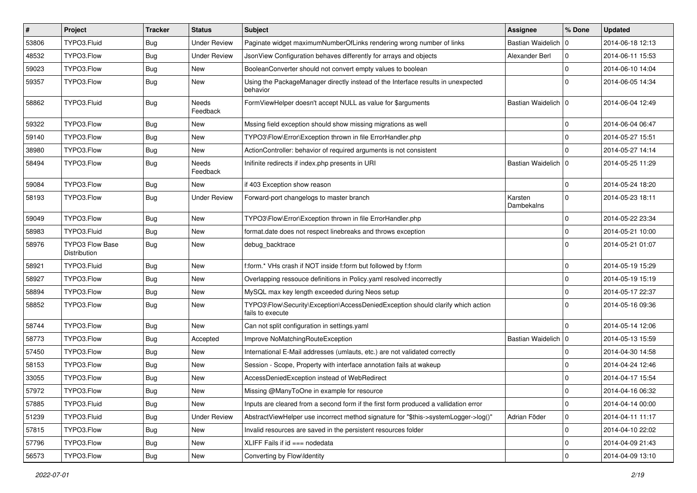| $\vert$ # | Project                         | <b>Tracker</b> | <b>Status</b>       | Subject                                                                                             | <b>Assignee</b>       | % Done      | <b>Updated</b>   |
|-----------|---------------------------------|----------------|---------------------|-----------------------------------------------------------------------------------------------------|-----------------------|-------------|------------------|
| 53806     | TYPO3.Fluid                     | <b>Bug</b>     | <b>Under Review</b> | Paginate widget maximumNumberOfLinks rendering wrong number of links                                | Bastian Waidelich   0 |             | 2014-06-18 12:13 |
| 48532     | TYPO3.Flow                      | Bug            | <b>Under Review</b> | JsonView Configuration behaves differently for arrays and objects                                   | Alexander Berl        | 0           | 2014-06-11 15:53 |
| 59023     | TYPO3.Flow                      | Bug            | New                 | BooleanConverter should not convert empty values to boolean                                         |                       | $\mathbf 0$ | 2014-06-10 14:04 |
| 59357     | TYPO3.Flow                      | Bug            | New                 | Using the PackageManager directly instead of the Interface results in unexpected<br>behavior        |                       | $\mathbf 0$ | 2014-06-05 14:34 |
| 58862     | TYPO3.Fluid                     | Bug            | Needs<br>Feedback   | FormViewHelper doesn't accept NULL as value for \$arguments                                         | Bastian Waidelich   0 |             | 2014-06-04 12:49 |
| 59322     | TYPO3.Flow                      | Bug            | New                 | Mssing field exception should show missing migrations as well                                       |                       | 0           | 2014-06-04 06:47 |
| 59140     | TYPO3.Flow                      | <b>Bug</b>     | New                 | TYPO3\Flow\Error\Exception thrown in file ErrorHandler.php                                          |                       | $\mathbf 0$ | 2014-05-27 15:51 |
| 38980     | TYPO3.Flow                      | <b>Bug</b>     | <b>New</b>          | ActionController: behavior of required arguments is not consistent                                  |                       | 0           | 2014-05-27 14:14 |
| 58494     | TYPO3.Flow                      | Bug            | Needs<br>Feedback   | Inifinite redirects if index.php presents in URI                                                    | Bastian Waidelich   0 |             | 2014-05-25 11:29 |
| 59084     | TYPO3.Flow                      | Bug            | <b>New</b>          | if 403 Exception show reason                                                                        |                       | 0           | 2014-05-24 18:20 |
| 58193     | TYPO3.Flow                      | Bug            | <b>Under Review</b> | Forward-port changelogs to master branch                                                            | Karsten<br>Dambekalns | $\mathbf 0$ | 2014-05-23 18:11 |
| 59049     | TYPO3.Flow                      | Bug            | New                 | TYPO3\Flow\Error\Exception thrown in file ErrorHandler.php                                          |                       | $\mathbf 0$ | 2014-05-22 23:34 |
| 58983     | TYPO3.Fluid                     | Bug            | New                 | format.date does not respect linebreaks and throws exception                                        |                       | $\mathbf 0$ | 2014-05-21 10:00 |
| 58976     | TYPO3 Flow Base<br>Distribution | <b>Bug</b>     | New                 | debug_backtrace                                                                                     |                       | $\mathbf 0$ | 2014-05-21 01:07 |
| 58921     | TYPO3.Fluid                     | <b>Bug</b>     | New                 | f:form.* VHs crash if NOT inside f:form but followed by f:form                                      |                       | $\mathbf 0$ | 2014-05-19 15:29 |
| 58927     | TYPO3.Flow                      | Bug            | <b>New</b>          | Overlapping ressouce definitions in Policy.yaml resolved incorrectly                                |                       | 0           | 2014-05-19 15:19 |
| 58894     | TYPO3.Flow                      | Bug            | New                 | MySQL max key length exceeded during Neos setup                                                     |                       | $\mathbf 0$ | 2014-05-17 22:37 |
| 58852     | TYPO3.Flow                      | Bug            | New                 | TYPO3\Flow\Security\Exception\AccessDeniedException should clarify which action<br>fails to execute |                       | $\Omega$    | 2014-05-16 09:36 |
| 58744     | TYPO3.Flow                      | <b>Bug</b>     | New                 | Can not split configuration in settings.yaml                                                        |                       | $\Omega$    | 2014-05-14 12:06 |
| 58773     | TYPO3.Flow                      | Bug            | Accepted            | Improve NoMatchingRouteException                                                                    | Bastian Waidelich   0 |             | 2014-05-13 15:59 |
| 57450     | TYPO3.Flow                      | Bug            | New                 | International E-Mail addresses (umlauts, etc.) are not validated correctly                          |                       | $\mathbf 0$ | 2014-04-30 14:58 |
| 58153     | TYPO3.Flow                      | Bug            | New                 | Session - Scope, Property with interface annotation fails at wakeup                                 |                       | 0           | 2014-04-24 12:46 |
| 33055     | TYPO3.Flow                      | Bug            | <b>New</b>          | AccessDeniedException instead of WebRedirect                                                        |                       | 0           | 2014-04-17 15:54 |
| 57972     | TYPO3.Flow                      | Bug            | New                 | Missing @ManyToOne in example for resource                                                          |                       | $\Omega$    | 2014-04-16 06:32 |
| 57885     | TYPO3.Fluid                     | Bug            | New                 | Inputs are cleared from a second form if the first form produced a vallidation error                |                       | 0           | 2014-04-14 00:00 |
| 51239     | TYPO3.Fluid                     | Bug            | <b>Under Review</b> | AbstractViewHelper use incorrect method signature for "\$this->systemLogger->log()"                 | Adrian Föder          | 0           | 2014-04-11 11:17 |
| 57815     | TYPO3.Flow                      | <b>Bug</b>     | New                 | Invalid resources are saved in the persistent resources folder                                      |                       | $\pmb{0}$   | 2014-04-10 22:02 |
| 57796     | TYPO3.Flow                      | Bug            | New                 | XLIFF Fails if id === nodedata                                                                      |                       | 0           | 2014-04-09 21:43 |
| 56573     | TYPO3.Flow                      | Bug            | New                 | Converting by Flow\Identity                                                                         |                       | $\mathbf 0$ | 2014-04-09 13:10 |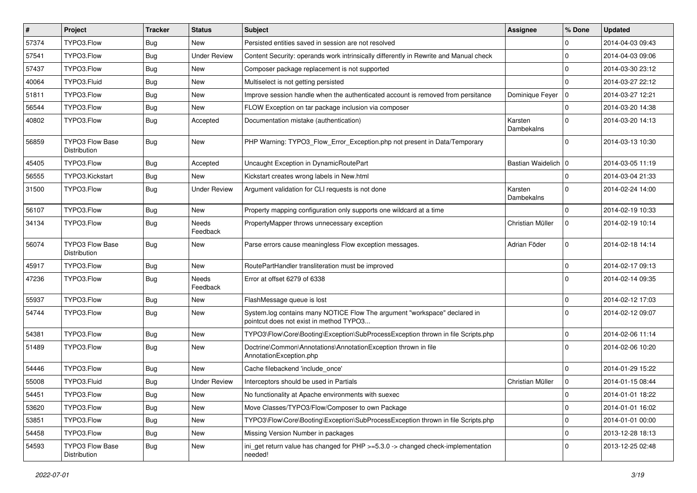| #     | Project                                | <b>Tracker</b> | <b>Status</b>            | <b>Subject</b>                                                                                                       | <b>Assignee</b>       | % Done      | <b>Updated</b>   |
|-------|----------------------------------------|----------------|--------------------------|----------------------------------------------------------------------------------------------------------------------|-----------------------|-------------|------------------|
| 57374 | TYPO3.Flow                             | <b>Bug</b>     | New                      | Persisted entities saved in session are not resolved                                                                 |                       | $\Omega$    | 2014-04-03 09:43 |
| 57541 | TYPO3.Flow                             | <b>Bug</b>     | <b>Under Review</b>      | Content Security: operands work intrinsically differently in Rewrite and Manual check                                |                       | $\Omega$    | 2014-04-03 09:06 |
| 57437 | TYPO3.Flow                             | Bug            | New                      | Composer package replacement is not supported                                                                        |                       | $\Omega$    | 2014-03-30 23:12 |
| 40064 | TYPO3.Fluid                            | Bug            | New                      | Multiselect is not getting persisted                                                                                 |                       | $\Omega$    | 2014-03-27 22:12 |
| 51811 | TYPO3.Flow                             | <b>Bug</b>     | New                      | Improve session handle when the authenticated account is removed from persitance                                     | Dominique Feyer       | l 0         | 2014-03-27 12:21 |
| 56544 | TYPO3.Flow                             | <b>Bug</b>     | New                      | FLOW Exception on tar package inclusion via composer                                                                 |                       | $\mathbf 0$ | 2014-03-20 14:38 |
| 40802 | TYPO3.Flow                             | Bug            | Accepted                 | Documentation mistake (authentication)                                                                               | Karsten<br>Dambekalns | $\Omega$    | 2014-03-20 14:13 |
| 56859 | <b>TYPO3 Flow Base</b><br>Distribution | <b>Bug</b>     | New                      | PHP Warning: TYPO3_Flow_Error_Exception.php not present in Data/Temporary                                            |                       | $\Omega$    | 2014-03-13 10:30 |
| 45405 | TYPO3.Flow                             | Bug            | Accepted                 | Uncaught Exception in DynamicRoutePart                                                                               | Bastian Waidelich   0 |             | 2014-03-05 11:19 |
| 56555 | TYPO3.Kickstart                        | <b>Bug</b>     | New                      | Kickstart creates wrong labels in New.html                                                                           |                       | $\Omega$    | 2014-03-04 21:33 |
| 31500 | TYPO3.Flow                             | Bug            | <b>Under Review</b>      | Argument validation for CLI requests is not done                                                                     | Karsten<br>Dambekalns | $\Omega$    | 2014-02-24 14:00 |
| 56107 | TYPO3.Flow                             | Bug            | New                      | Property mapping configuration only supports one wildcard at a time                                                  |                       | $\Omega$    | 2014-02-19 10:33 |
| 34134 | TYPO3.Flow                             | Bug            | Needs<br>Feedback        | PropertyMapper throws unnecessary exception                                                                          | Christian Müller      | $\mathbf 0$ | 2014-02-19 10:14 |
| 56074 | TYPO3 Flow Base<br>Distribution        | Bug            | New                      | Parse errors cause meaningless Flow exception messages.                                                              | Adrian Föder          | $\mathbf 0$ | 2014-02-18 14:14 |
| 45917 | TYPO3.Flow                             | <b>Bug</b>     | <b>New</b>               | RoutePartHandler transliteration must be improved                                                                    |                       | $\mathbf 0$ | 2014-02-17 09:13 |
| 47236 | TYPO3.Flow                             | Bug            | <b>Needs</b><br>Feedback | Error at offset 6279 of 6338                                                                                         |                       | $\Omega$    | 2014-02-14 09:35 |
| 55937 | TYPO3.Flow                             | Bug            | New                      | FlashMessage queue is lost                                                                                           |                       | $\mathbf 0$ | 2014-02-12 17:03 |
| 54744 | TYPO3.Flow                             | Bug            | New                      | System.log contains many NOTICE Flow The argument "workspace" declared in<br>pointcut does not exist in method TYPO3 |                       | $\Omega$    | 2014-02-12 09:07 |
| 54381 | TYPO3.Flow                             | Bug            | <b>New</b>               | TYPO3\Flow\Core\Booting\Exception\SubProcessException thrown in file Scripts.php                                     |                       | $\Omega$    | 2014-02-06 11:14 |
| 51489 | TYPO3.Flow                             | Bug            | New                      | Doctrine\Common\Annotations\AnnotationException thrown in file<br>AnnotationException.php                            |                       | $\Omega$    | 2014-02-06 10:20 |
| 54446 | TYPO3.Flow                             | <b>Bug</b>     | New                      | Cache filebackend 'include_once'                                                                                     |                       | $\Omega$    | 2014-01-29 15:22 |
| 55008 | TYPO3.Fluid                            | <b>Bug</b>     | <b>Under Review</b>      | Interceptors should be used in Partials                                                                              | Christian Müller      | $\mathbf 0$ | 2014-01-15 08:44 |
| 54451 | TYPO3.Flow                             | Bug            | New                      | No functionality at Apache environments with suexec                                                                  |                       | 0           | 2014-01-01 18:22 |
| 53620 | TYPO3.Flow                             | Bug            | New                      | Move Classes/TYPO3/Flow/Composer to own Package                                                                      |                       | $\mathbf 0$ | 2014-01-01 16:02 |
| 53851 | TYPO3.Flow                             | <b>Bug</b>     | New                      | TYPO3\Flow\Core\Booting\Exception\SubProcessException thrown in file Scripts.php                                     |                       | $\mathbf 0$ | 2014-01-01 00:00 |
| 54458 | TYPO3.Flow                             | <b>Bug</b>     | New                      | Missing Version Number in packages                                                                                   |                       | $\mathbf 0$ | 2013-12-28 18:13 |
| 54593 | TYPO3 Flow Base<br>Distribution        | Bug            | New                      | ini_get return value has changed for PHP >=5.3.0 -> changed check-implementation<br>needed!                          |                       | $\mathbf 0$ | 2013-12-25 02:48 |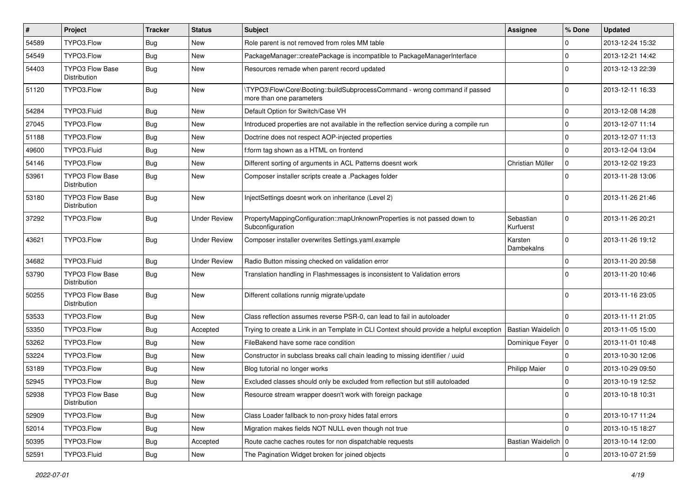| #     | Project                                | <b>Tracker</b> | <b>Status</b>       | Subject                                                                                                | Assignee               | % Done       | <b>Updated</b>   |
|-------|----------------------------------------|----------------|---------------------|--------------------------------------------------------------------------------------------------------|------------------------|--------------|------------------|
| 54589 | TYPO3.Flow                             | <b>Bug</b>     | New                 | Role parent is not removed from roles MM table                                                         |                        | 0            | 2013-12-24 15:32 |
| 54549 | TYPO3.Flow                             | Bug            | <b>New</b>          | PackageManager::createPackage is incompatible to PackageManagerInterface                               |                        | $\mathbf 0$  | 2013-12-21 14:42 |
| 54403 | <b>TYPO3 Flow Base</b><br>Distribution | <b>Bug</b>     | New                 | Resources remade when parent record updated                                                            |                        | $\Omega$     | 2013-12-13 22:39 |
| 51120 | TYPO3.Flow                             | <b>Bug</b>     | New                 | \TYPO3\Flow\Core\Booting::buildSubprocessCommand - wrong command if passed<br>more than one parameters |                        | $\Omega$     | 2013-12-11 16:33 |
| 54284 | TYPO3.Fluid                            | <b>Bug</b>     | New                 | Default Option for Switch/Case VH                                                                      |                        | $\mathbf 0$  | 2013-12-08 14:28 |
| 27045 | TYPO3.Flow                             | <b>Bug</b>     | New                 | Introduced properties are not available in the reflection service during a compile run                 |                        | $\mathbf 0$  | 2013-12-07 11:14 |
| 51188 | TYPO3.Flow                             | <b>Bug</b>     | New                 | Doctrine does not respect AOP-injected properties                                                      |                        | $\mathbf 0$  | 2013-12-07 11:13 |
| 49600 | TYPO3.Fluid                            | Bug            | <b>New</b>          | f:form tag shown as a HTML on frontend                                                                 |                        | $\mathbf 0$  | 2013-12-04 13:04 |
| 54146 | TYPO3.Flow                             | <b>Bug</b>     | New                 | Different sorting of arguments in ACL Patterns doesnt work                                             | Christian Müller       | $\mathbf 0$  | 2013-12-02 19:23 |
| 53961 | <b>TYPO3 Flow Base</b><br>Distribution | Bug            | <b>New</b>          | Composer installer scripts create a .Packages folder                                                   |                        | $\Omega$     | 2013-11-28 13:06 |
| 53180 | <b>TYPO3 Flow Base</b><br>Distribution | <b>Bug</b>     | <b>New</b>          | InjectSettings doesnt work on inheritance (Level 2)                                                    |                        | $\Omega$     | 2013-11-26 21:46 |
| 37292 | TYPO3.Flow                             | <b>Bug</b>     | <b>Under Review</b> | PropertyMappingConfiguration::mapUnknownProperties is not passed down to<br>Subconfiguration           | Sebastian<br>Kurfuerst | $\Omega$     | 2013-11-26 20:21 |
| 43621 | TYPO3.Flow                             | <b>Bug</b>     | <b>Under Review</b> | Composer installer overwrites Settings.yaml.example                                                    | Karsten<br>Dambekalns  | $\mathbf 0$  | 2013-11-26 19:12 |
| 34682 | TYPO3.Fluid                            | Bug            | <b>Under Review</b> | Radio Button missing checked on validation error                                                       |                        | $\mathbf 0$  | 2013-11-20 20:58 |
| 53790 | <b>TYPO3 Flow Base</b><br>Distribution | <b>Bug</b>     | <b>New</b>          | Translation handling in Flashmessages is inconsistent to Validation errors                             |                        | $\Omega$     | 2013-11-20 10:46 |
| 50255 | <b>TYPO3 Flow Base</b><br>Distribution | Bug            | <b>New</b>          | Different collations runnig migrate/update                                                             |                        | $\Omega$     | 2013-11-16 23:05 |
| 53533 | TYPO3.Flow                             | <b>Bug</b>     | New                 | Class reflection assumes reverse PSR-0, can lead to fail in autoloader                                 |                        | $\Omega$     | 2013-11-11 21:05 |
| 53350 | TYPO3.Flow                             | <b>Bug</b>     | Accepted            | Trying to create a Link in an Template in CLI Context should provide a helpful exception               | Bastian Waidelich   0  |              | 2013-11-05 15:00 |
| 53262 | TYPO3.Flow                             | Bug            | New                 | FileBakend have some race condition                                                                    | Dominique Feyer   0    |              | 2013-11-01 10:48 |
| 53224 | TYPO3.Flow                             | <b>Bug</b>     | New                 | Constructor in subclass breaks call chain leading to missing identifier / uuid                         |                        | $\mathbf 0$  | 2013-10-30 12:06 |
| 53189 | TYPO3.Flow                             | <b>Bug</b>     | <b>New</b>          | Blog tutorial no longer works                                                                          | <b>Philipp Maier</b>   | 0            | 2013-10-29 09:50 |
| 52945 | TYPO3.Flow                             | Bug            | New                 | Excluded classes should only be excluded from reflection but still autoloaded                          |                        | $\mathbf 0$  | 2013-10-19 12:52 |
| 52938 | TYPO3 Flow Base<br>Distribution        | <b>Bug</b>     | New                 | Resource stream wrapper doesn't work with foreign package                                              |                        |              | 2013-10-18 10:31 |
| 52909 | TYPO3.Flow                             | <b>Bug</b>     | New                 | Class Loader fallback to non-proxy hides fatal errors                                                  |                        | $\mathsf{O}$ | 2013-10-17 11:24 |
| 52014 | TYPO3.Flow                             | <b>Bug</b>     | New                 | Migration makes fields NOT NULL even though not true                                                   |                        | $\mathbf 0$  | 2013-10-15 18:27 |
| 50395 | TYPO3.Flow                             | <b>Bug</b>     | Accepted            | Route cache caches routes for non dispatchable requests                                                | Bastian Waidelich   0  |              | 2013-10-14 12:00 |
| 52591 | TYPO3.Fluid                            | Bug            | New                 | The Pagination Widget broken for joined objects                                                        |                        | $\mathbf 0$  | 2013-10-07 21:59 |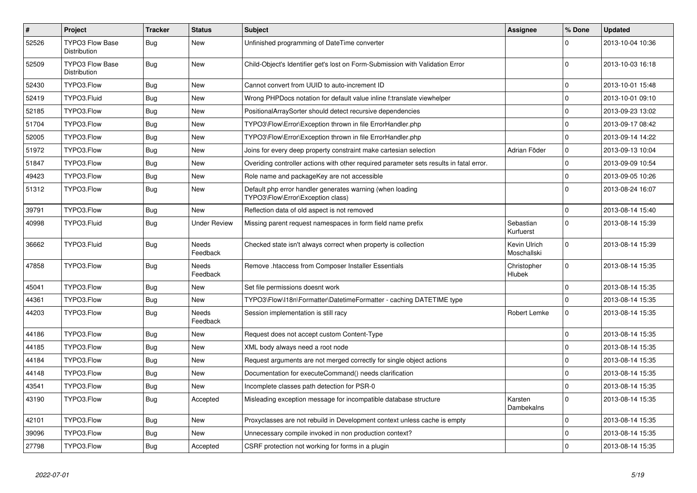| $\vert$ # | Project                                | <b>Tracker</b> | <b>Status</b>            | <b>Subject</b>                                                                                 | Assignee                    | % Done       | <b>Updated</b>   |
|-----------|----------------------------------------|----------------|--------------------------|------------------------------------------------------------------------------------------------|-----------------------------|--------------|------------------|
| 52526     | <b>TYPO3 Flow Base</b><br>Distribution | <b>Bug</b>     | New                      | Unfinished programming of DateTime converter                                                   |                             | $\Omega$     | 2013-10-04 10:36 |
| 52509     | TYPO3 Flow Base<br>Distribution        | <b>Bug</b>     | <b>New</b>               | Child-Object's Identifier get's lost on Form-Submission with Validation Error                  |                             | $\Omega$     | 2013-10-03 16:18 |
| 52430     | TYPO3.Flow                             | <b>Bug</b>     | <b>New</b>               | Cannot convert from UUID to auto-increment ID                                                  |                             | $\mathbf 0$  | 2013-10-01 15:48 |
| 52419     | TYPO3.Fluid                            | <b>Bug</b>     | New                      | Wrong PHPDocs notation for default value inline f:translate viewhelper                         |                             | $\mathbf 0$  | 2013-10-01 09:10 |
| 52185     | TYPO3.Flow                             | <b>Bug</b>     | New                      | PositionalArraySorter should detect recursive dependencies                                     |                             | $\mathbf 0$  | 2013-09-23 13:02 |
| 51704     | TYPO3.Flow                             | <b>Bug</b>     | New                      | TYPO3\Flow\Error\Exception thrown in file ErrorHandler.php                                     |                             | $\mathbf 0$  | 2013-09-17 08:42 |
| 52005     | TYPO3.Flow                             | <b>Bug</b>     | <b>New</b>               | TYPO3\Flow\Error\Exception thrown in file ErrorHandler.php                                     |                             | $\mathbf 0$  | 2013-09-14 14:22 |
| 51972     | TYPO3.Flow                             | <b>Bug</b>     | New                      | Joins for every deep property constraint make cartesian selection                              | Adrian Föder                | $\pmb{0}$    | 2013-09-13 10:04 |
| 51847     | TYPO3.Flow                             | <b>Bug</b>     | New                      | Overiding controller actions with other required parameter sets results in fatal error.        |                             | $\mathbf 0$  | 2013-09-09 10:54 |
| 49423     | TYPO3.Flow                             | Bug            | <b>New</b>               | Role name and packageKey are not accessible                                                    |                             | $\mathbf 0$  | 2013-09-05 10:26 |
| 51312     | TYPO3.Flow                             | <b>Bug</b>     | <b>New</b>               | Default php error handler generates warning (when loading<br>TYPO3\Flow\Error\Exception class) |                             | $\mathbf 0$  | 2013-08-24 16:07 |
| 39791     | TYPO3.Flow                             | <b>Bug</b>     | <b>New</b>               | Reflection data of old aspect is not removed                                                   |                             | $\mathsf{O}$ | 2013-08-14 15:40 |
| 40998     | TYPO3.Fluid                            | <b>Bug</b>     | <b>Under Review</b>      | Missing parent request namespaces in form field name prefix                                    | Sebastian<br>Kurfuerst      | $\Omega$     | 2013-08-14 15:39 |
| 36662     | TYPO3.Fluid                            | Bug            | <b>Needs</b><br>Feedback | Checked state isn't always correct when property is collection                                 | Kevin Ulrich<br>Moschallski | $\mathsf{O}$ | 2013-08-14 15:39 |
| 47858     | TYPO3.Flow                             | <b>Bug</b>     | Needs<br>Feedback        | Remove .htaccess from Composer Installer Essentials                                            | Christopher<br>Hlubek       | $\mathbf{0}$ | 2013-08-14 15:35 |
| 45041     | TYPO3.Flow                             | <b>Bug</b>     | New                      | Set file permissions doesnt work                                                               |                             | $\mathbf 0$  | 2013-08-14 15:35 |
| 44361     | TYPO3.Flow                             | <b>Bug</b>     | New                      | TYPO3\Flow\I18n\Formatter\DatetimeFormatter - caching DATETIME type                            |                             | $\mathbf 0$  | 2013-08-14 15:35 |
| 44203     | TYPO3.Flow                             | Bug            | Needs<br>Feedback        | Session implementation is still racy                                                           | Robert Lemke                | $\mathbf 0$  | 2013-08-14 15:35 |
| 44186     | TYPO3.Flow                             | <b>Bug</b>     | <b>New</b>               | Request does not accept custom Content-Type                                                    |                             | $\Omega$     | 2013-08-14 15:35 |
| 44185     | TYPO3.Flow                             | Bug            | New                      | XML body always need a root node                                                               |                             | $\mathbf 0$  | 2013-08-14 15:35 |
| 44184     | TYPO3.Flow                             | Bug            | <b>New</b>               | Request arguments are not merged correctly for single object actions                           |                             | $\mathbf 0$  | 2013-08-14 15:35 |
| 44148     | TYPO3.Flow                             | <b>Bug</b>     | <b>New</b>               | Documentation for executeCommand() needs clarification                                         |                             | $\mathbf 0$  | 2013-08-14 15:35 |
| 43541     | TYPO3.Flow                             | <b>Bug</b>     | New                      | Incomplete classes path detection for PSR-0                                                    |                             | $\mathbf 0$  | 2013-08-14 15:35 |
| 43190     | TYPO3.Flow                             | <b>Bug</b>     | Accepted                 | Misleading exception message for incompatible database structure                               | Karsten<br>Dambekalns       | $\mathbf 0$  | 2013-08-14 15:35 |
| 42101     | TYPO3.Flow                             | <b>Bug</b>     | <b>New</b>               | Proxyclasses are not rebuild in Development context unless cache is empty                      |                             | $\mathbf 0$  | 2013-08-14 15:35 |
| 39096     | TYPO3.Flow                             | <b>Bug</b>     | New                      | Unnecessary compile invoked in non production context?                                         |                             | $\mathbf 0$  | 2013-08-14 15:35 |
| 27798     | TYPO3.Flow                             | <b>Bug</b>     | Accepted                 | CSRF protection not working for forms in a plugin                                              |                             | $\Omega$     | 2013-08-14 15:35 |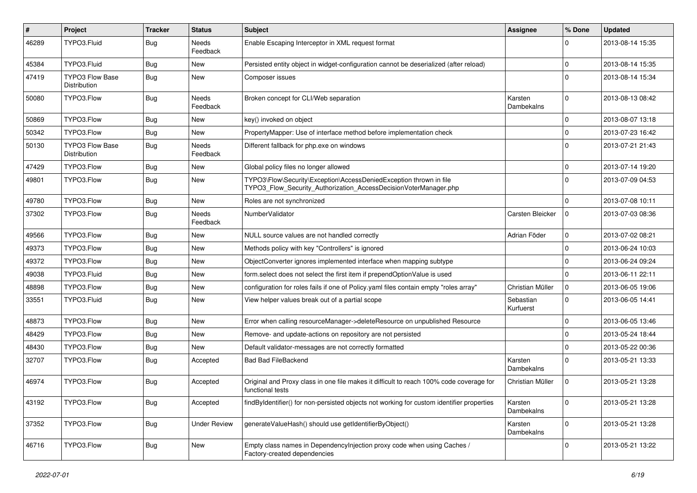| $\vert$ # | Project                                | <b>Tracker</b> | <b>Status</b>            | <b>Subject</b>                                                                                                                         | Assignee               | % Done      | <b>Updated</b>   |
|-----------|----------------------------------------|----------------|--------------------------|----------------------------------------------------------------------------------------------------------------------------------------|------------------------|-------------|------------------|
| 46289     | TYPO3.Fluid                            | Bug            | Needs<br>Feedback        | Enable Escaping Interceptor in XML request format                                                                                      |                        | 0           | 2013-08-14 15:35 |
| 45384     | TYPO3.Fluid                            | Bug            | New                      | Persisted entity object in widget-configuration cannot be deserialized (after reload)                                                  |                        | $\mathbf 0$ | 2013-08-14 15:35 |
| 47419     | <b>TYPO3 Flow Base</b><br>Distribution | Bug            | New                      | Composer issues                                                                                                                        |                        | $\Omega$    | 2013-08-14 15:34 |
| 50080     | TYPO3.Flow                             | <b>Bug</b>     | <b>Needs</b><br>Feedback | Broken concept for CLI/Web separation                                                                                                  | Karsten<br>Dambekalns  | $\Omega$    | 2013-08-13 08:42 |
| 50869     | TYPO3.Flow                             | Bug            | New                      | key() invoked on object                                                                                                                |                        | $\mathbf 0$ | 2013-08-07 13:18 |
| 50342     | TYPO3.Flow                             | <b>Bug</b>     | New                      | PropertyMapper: Use of interface method before implementation check                                                                    |                        | $\mathbf 0$ | 2013-07-23 16:42 |
| 50130     | <b>TYPO3 Flow Base</b><br>Distribution | Bug            | <b>Needs</b><br>Feedback | Different fallback for php.exe on windows                                                                                              |                        | $\Omega$    | 2013-07-21 21:43 |
| 47429     | TYPO3.Flow                             | Bug            | New                      | Global policy files no longer allowed                                                                                                  |                        | $\Omega$    | 2013-07-14 19:20 |
| 49801     | TYPO3.Flow                             | Bug            | <b>New</b>               | TYPO3\Flow\Security\Exception\AccessDeniedException thrown in file<br>TYPO3_Flow_Security_Authorization_AccessDecisionVoterManager.php |                        | $\Omega$    | 2013-07-09 04:53 |
| 49780     | TYPO3.Flow                             | <b>Bug</b>     | New                      | Roles are not synchronized                                                                                                             |                        | $\Omega$    | 2013-07-08 10:11 |
| 37302     | TYPO3.Flow                             | Bug            | <b>Needs</b><br>Feedback | NumberValidator                                                                                                                        | Carsten Bleicker       | 0           | 2013-07-03 08:36 |
| 49566     | TYPO3.Flow                             | <b>Bug</b>     | New                      | NULL source values are not handled correctly                                                                                           | Adrian Föder           | $\mathbf 0$ | 2013-07-02 08:21 |
| 49373     | TYPO3.Flow                             | Bug            | New                      | Methods policy with key "Controllers" is ignored                                                                                       |                        | $\mathbf 0$ | 2013-06-24 10:03 |
| 49372     | TYPO3.Flow                             | Bug            | <b>New</b>               | ObjectConverter ignores implemented interface when mapping subtype                                                                     |                        | $\Omega$    | 2013-06-24 09:24 |
| 49038     | TYPO3.Fluid                            | <b>Bug</b>     | <b>New</b>               | form.select does not select the first item if prependOptionValue is used                                                               |                        | $\mathbf 0$ | 2013-06-11 22:11 |
| 48898     | TYPO3.Flow                             | <b>Bug</b>     | New                      | configuration for roles fails if one of Policy yaml files contain empty "roles array"                                                  | Christian Müller       | $\mathbf 0$ | 2013-06-05 19:06 |
| 33551     | TYPO3.Fluid                            | Bug            | New                      | View helper values break out of a partial scope                                                                                        | Sebastian<br>Kurfuerst | $\mathbf 0$ | 2013-06-05 14:41 |
| 48873     | TYPO3.Flow                             | <b>Bug</b>     | <b>New</b>               | Error when calling resourceManager->deleteResource on unpublished Resource                                                             |                        | $\mathbf 0$ | 2013-06-05 13:46 |
| 48429     | TYPO3.Flow                             | <b>Bug</b>     | <b>New</b>               | Remove- and update-actions on repository are not persisted                                                                             |                        | $\mathbf 0$ | 2013-05-24 18:44 |
| 48430     | TYPO3.Flow                             | Bug            | New                      | Default validator-messages are not correctly formatted                                                                                 |                        | $\Omega$    | 2013-05-22 00:36 |
| 32707     | TYPO3.Flow                             | Bug            | Accepted                 | <b>Bad Bad FileBackend</b>                                                                                                             | Karsten<br>Dambekalns  | $\Omega$    | 2013-05-21 13:33 |
| 46974     | TYPO3.Flow                             | <b>Bug</b>     | Accepted                 | Original and Proxy class in one file makes it difficult to reach 100% code coverage for<br>functional tests                            | Christian Müller       | 0           | 2013-05-21 13:28 |
| 43192     | TYPO3.Flow                             | Bug            | Accepted                 | findByIdentifier() for non-persisted objects not working for custom identifier properties                                              | Karsten<br>Dambekalns  | $\mathbf 0$ | 2013-05-21 13:28 |
| 37352     | TYPO3.Flow                             | <b>Bug</b>     | <b>Under Review</b>      | generateValueHash() should use getIdentifierByObject()                                                                                 | Karsten<br>Dambekalns  | $\mathbf 0$ | 2013-05-21 13:28 |
| 46716     | TYPO3.Flow                             | <b>Bug</b>     | New                      | Empty class names in Dependencylnjection proxy code when using Caches /<br>Factory-created dependencies                                |                        | 0           | 2013-05-21 13:22 |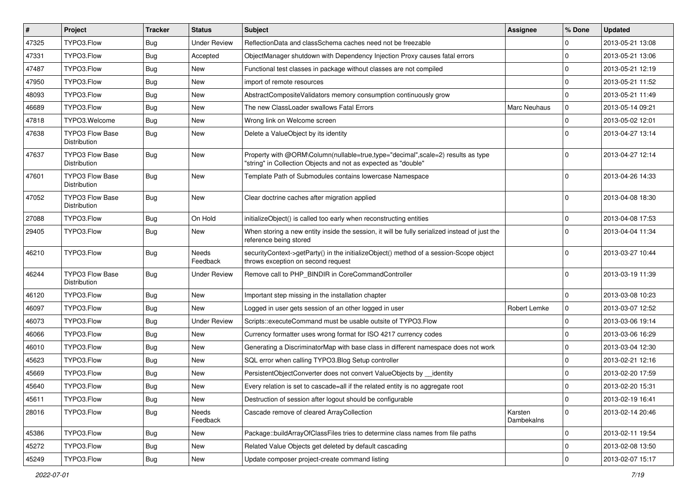| $\vert$ # | Project                                | <b>Tracker</b> | <b>Status</b>       | <b>Subject</b>                                                                                                                                    | Assignee              | % Done       | <b>Updated</b>   |
|-----------|----------------------------------------|----------------|---------------------|---------------------------------------------------------------------------------------------------------------------------------------------------|-----------------------|--------------|------------------|
| 47325     | TYPO3.Flow                             | Bug            | <b>Under Review</b> | ReflectionData and classSchema caches need not be freezable                                                                                       |                       | 0            | 2013-05-21 13:08 |
| 47331     | TYPO3.Flow                             | <b>Bug</b>     | Accepted            | ObjectManager shutdown with Dependency Injection Proxy causes fatal errors                                                                        |                       | $\mathbf 0$  | 2013-05-21 13:06 |
| 47487     | TYPO3.Flow                             | <b>Bug</b>     | New                 | Functional test classes in package without classes are not compiled                                                                               |                       | $\mathbf 0$  | 2013-05-21 12:19 |
| 47950     | TYPO3.Flow                             | <b>Bug</b>     | <b>New</b>          | import of remote resources                                                                                                                        |                       | $\mathbf 0$  | 2013-05-21 11:52 |
| 48093     | TYPO3.Flow                             | <b>Bug</b>     | <b>New</b>          | AbstractCompositeValidators memory consumption continuously grow                                                                                  |                       | 0            | 2013-05-21 11:49 |
| 46689     | TYPO3.Flow                             | <b>Bug</b>     | New                 | The new ClassLoader swallows Fatal Errors                                                                                                         | <b>Marc Neuhaus</b>   | $\pmb{0}$    | 2013-05-14 09:21 |
| 47818     | TYPO3.Welcome                          | <b>Bug</b>     | <b>New</b>          | Wrong link on Welcome screen                                                                                                                      |                       | 0            | 2013-05-02 12:01 |
| 47638     | <b>TYPO3 Flow Base</b><br>Distribution | <b>Bug</b>     | <b>New</b>          | Delete a ValueObject by its identity                                                                                                              |                       | $\mathbf 0$  | 2013-04-27 13:14 |
| 47637     | <b>TYPO3 Flow Base</b><br>Distribution | <b>Bug</b>     | <b>New</b>          | Property with @ORM\Column(nullable=true,type="decimal",scale=2) results as type<br>"string" in Collection Objects and not as expected as "double" |                       | $\mathbf 0$  | 2013-04-27 12:14 |
| 47601     | <b>TYPO3 Flow Base</b><br>Distribution | Bug            | <b>New</b>          | Template Path of Submodules contains lowercase Namespace                                                                                          |                       | $\Omega$     | 2013-04-26 14:33 |
| 47052     | TYPO3 Flow Base<br>Distribution        | <b>Bug</b>     | <b>New</b>          | Clear doctrine caches after migration applied                                                                                                     |                       | $\Omega$     | 2013-04-08 18:30 |
| 27088     | TYPO3.Flow                             | <b>Bug</b>     | On Hold             | initializeObject() is called too early when reconstructing entities                                                                               |                       | 0            | 2013-04-08 17:53 |
| 29405     | TYPO3.Flow                             | Bug            | New                 | When storing a new entity inside the session, it will be fully serialized instead of just the<br>reference being stored                           |                       | $\mathbf 0$  | 2013-04-04 11:34 |
| 46210     | TYPO3.Flow                             | <b>Bug</b>     | Needs<br>Feedback   | securityContext->getParty() in the initializeObject() method of a session-Scope object<br>throws exception on second request                      |                       | $\mathbf 0$  | 2013-03-27 10:44 |
| 46244     | <b>TYPO3 Flow Base</b><br>Distribution | <b>Bug</b>     | <b>Under Review</b> | Remove call to PHP_BINDIR in CoreCommandController                                                                                                |                       | $\Omega$     | 2013-03-19 11:39 |
| 46120     | TYPO3.Flow                             | Bug            | <b>New</b>          | Important step missing in the installation chapter                                                                                                |                       | $\mathbf 0$  | 2013-03-08 10:23 |
| 46097     | TYPO3.Flow                             | Bug            | <b>New</b>          | Logged in user gets session of an other logged in user                                                                                            | Robert Lemke          | 0            | 2013-03-07 12:52 |
| 46073     | TYPO3.Flow                             | <b>Bug</b>     | <b>Under Review</b> | Scripts::executeCommand must be usable outsite of TYPO3.Flow                                                                                      |                       | $\pmb{0}$    | 2013-03-06 19:14 |
| 46066     | TYPO3.Flow                             | <b>Bug</b>     | <b>New</b>          | Currency formatter uses wrong format for ISO 4217 currency codes                                                                                  |                       | $\mathbf 0$  | 2013-03-06 16:29 |
| 46010     | TYPO3.Flow                             | <b>Bug</b>     | <b>New</b>          | Generating a DiscriminatorMap with base class in different namespace does not work                                                                |                       | $\mathbf 0$  | 2013-03-04 12:30 |
| 45623     | TYPO3.Flow                             | <b>Bug</b>     | <b>New</b>          | SQL error when calling TYPO3.Blog Setup controller                                                                                                |                       | $\mathbf 0$  | 2013-02-21 12:16 |
| 45669     | TYPO3.Flow                             | <b>Bug</b>     | <b>New</b>          | PersistentObjectConverter does not convert ValueObjects by identity                                                                               |                       | 0            | 2013-02-20 17:59 |
| 45640     | TYPO3.Flow                             | Bug            | New                 | Every relation is set to cascade=all if the related entity is no aggregate root                                                                   |                       | $\mathbf 0$  | 2013-02-20 15:31 |
| 45611     | TYPO3.Flow                             | Bug            | New                 | Destruction of session after logout should be configurable                                                                                        |                       | $\pmb{0}$    | 2013-02-19 16:41 |
| 28016     | TYPO3.Flow                             | <b>Bug</b>     | Needs<br>Feedback   | Cascade remove of cleared ArrayCollection                                                                                                         | Karsten<br>Dambekalns | $\mathbf{0}$ | 2013-02-14 20:46 |
| 45386     | TYPO3.Flow                             | <b>Bug</b>     | New                 | Package::buildArrayOfClassFiles tries to determine class names from file paths                                                                    |                       | $\mathsf{O}$ | 2013-02-11 19:54 |
| 45272     | TYPO3.Flow                             | <b>Bug</b>     | New                 | Related Value Objects get deleted by default cascading                                                                                            |                       | 0            | 2013-02-08 13:50 |
| 45249     | TYPO3.Flow                             | Bug            | New                 | Update composer project-create command listing                                                                                                    |                       | $\pmb{0}$    | 2013-02-07 15:17 |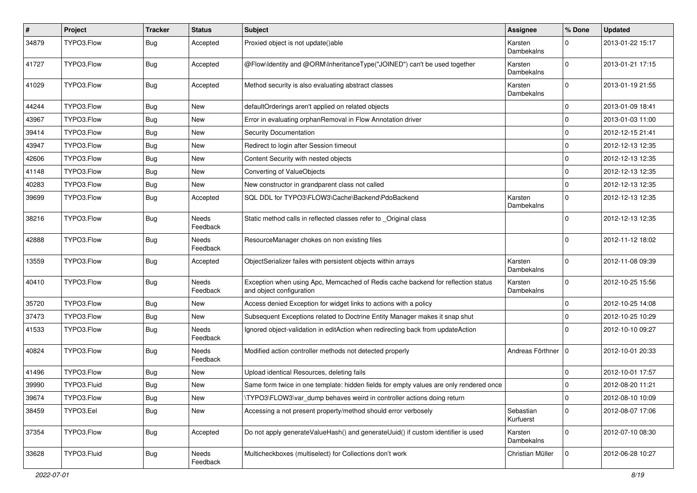| #     | Project     | <b>Tracker</b> | <b>Status</b>            | <b>Subject</b>                                                                                               | Assignee               | % Done         | <b>Updated</b>   |
|-------|-------------|----------------|--------------------------|--------------------------------------------------------------------------------------------------------------|------------------------|----------------|------------------|
| 34879 | TYPO3.Flow  | Bug            | Accepted                 | Proxied object is not update()able                                                                           | Karsten<br>Dambekalns  | $\Omega$       | 2013-01-22 15:17 |
| 41727 | TYPO3.Flow  | Bug            | Accepted                 | @Flow\Identity and @ORM\InheritanceType("JOINED") can't be used together                                     | Karsten<br>Dambekalns  | $\mathbf 0$    | 2013-01-21 17:15 |
| 41029 | TYPO3.Flow  | <b>Bug</b>     | Accepted                 | Method security is also evaluating abstract classes                                                          | Karsten<br>Dambekalns  | $\Omega$       | 2013-01-19 21:55 |
| 44244 | TYPO3.Flow  | Bug            | New                      | defaultOrderings aren't applied on related objects                                                           |                        | $\mathbf 0$    | 2013-01-09 18:41 |
| 43967 | TYPO3.Flow  | Bug            | New                      | Error in evaluating orphanRemoval in Flow Annotation driver                                                  |                        | $\mathbf 0$    | 2013-01-03 11:00 |
| 39414 | TYPO3.Flow  | Bug            | New                      | Security Documentation                                                                                       |                        | $\mathbf 0$    | 2012-12-15 21:41 |
| 43947 | TYPO3.Flow  | <b>Bug</b>     | <b>New</b>               | Redirect to login after Session timeout                                                                      |                        | $\mathbf 0$    | 2012-12-13 12:35 |
| 42606 | TYPO3.Flow  | <b>Bug</b>     | New                      | Content Security with nested objects                                                                         |                        | $\mathbf 0$    | 2012-12-13 12:35 |
| 41148 | TYPO3.Flow  | Bug            | New                      | Converting of ValueObjects                                                                                   |                        | $\mathbf 0$    | 2012-12-13 12:35 |
| 40283 | TYPO3.Flow  | Bug            | <b>New</b>               | New constructor in grandparent class not called                                                              |                        | $\mathbf 0$    | 2012-12-13 12:35 |
| 39699 | TYPO3.Flow  | Bug            | Accepted                 | SQL DDL for TYPO3\FLOW3\Cache\Backend\PdoBackend                                                             | Karsten<br>Dambekalns  | $\mathbf 0$    | 2012-12-13 12:35 |
| 38216 | TYPO3.Flow  | <b>Bug</b>     | Needs<br>Feedback        | Static method calls in reflected classes refer to _Original class                                            |                        | $\Omega$       | 2012-12-13 12:35 |
| 42888 | TYPO3.Flow  | <b>Bug</b>     | Needs<br>Feedback        | ResourceManager chokes on non existing files                                                                 |                        | 0              | 2012-11-12 18:02 |
| 13559 | TYPO3.Flow  | Bug            | Accepted                 | ObjectSerializer failes with persistent objects within arrays                                                | Karsten<br>Dambekalns  | $\mathbf 0$    | 2012-11-08 09:39 |
| 40410 | TYPO3.Flow  | Bug            | Needs<br>Feedback        | Exception when using Apc, Memcached of Redis cache backend for reflection status<br>and object configuration | Karsten<br>Dambekalns  | $\mathbf 0$    | 2012-10-25 15:56 |
| 35720 | TYPO3.Flow  | <b>Bug</b>     | <b>New</b>               | Access denied Exception for widget links to actions with a policy                                            |                        | $\mathbf 0$    | 2012-10-25 14:08 |
| 37473 | TYPO3.Flow  | Bug            | <b>New</b>               | Subsequent Exceptions related to Doctrine Entity Manager makes it snap shut                                  |                        | $\mathbf 0$    | 2012-10-25 10:29 |
| 41533 | TYPO3.Flow  | Bug            | <b>Needs</b><br>Feedback | Ignored object-validation in editAction when redirecting back from updateAction                              |                        | $\Omega$       | 2012-10-10 09:27 |
| 40824 | TYPO3.Flow  | Bug            | Needs<br>Feedback        | Modified action controller methods not detected properly                                                     | Andreas Förthner       | $\Omega$       | 2012-10-01 20:33 |
| 41496 | TYPO3.Flow  | Bug            | New                      | Upload identical Resources, deleting fails                                                                   |                        | $\mathbf 0$    | 2012-10-01 17:57 |
| 39990 | TYPO3.Fluid | Bug            | New                      | Same form twice in one template: hidden fields for empty values are only rendered once                       |                        | $\mathbf 0$    | 2012-08-20 11:21 |
| 39674 | TYPO3.Flow  | Bug            | New                      | \TYPO3\FLOW3\var dump behaves weird in controller actions doing return                                       |                        | $\overline{0}$ | 2012-08-10 10:09 |
| 38459 | TYPO3.Eel   | Bug            | New                      | Accessing a not present property/method should error verbosely                                               | Sebastian<br>Kurfuerst | $\mathbf 0$    | 2012-08-07 17:06 |
| 37354 | TYPO3.Flow  | Bug            | Accepted                 | Do not apply generateValueHash() and generateUuid() if custom identifier is used                             | Karsten<br>Dambekalns  | 0              | 2012-07-10 08:30 |
| 33628 | TYPO3.Fluid | Bug            | Needs<br>Feedback        | Multicheckboxes (multiselect) for Collections don't work                                                     | Christian Müller       | $\mathbf 0$    | 2012-06-28 10:27 |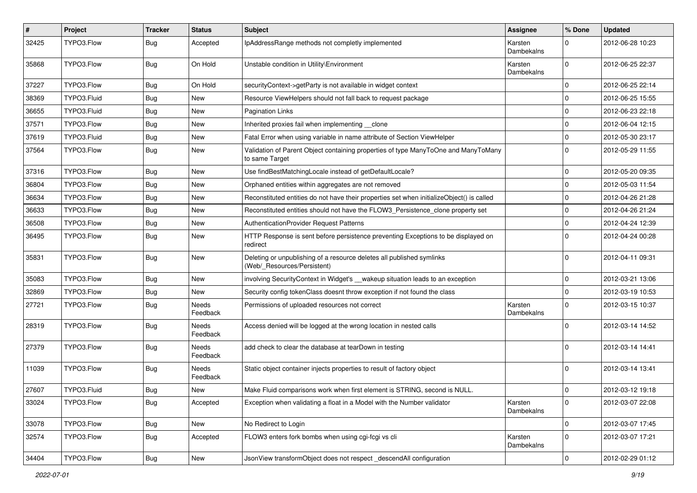| ∦     | Project     | <b>Tracker</b> | <b>Status</b>            | Subject                                                                                              | <b>Assignee</b>       | % Done      | <b>Updated</b>   |
|-------|-------------|----------------|--------------------------|------------------------------------------------------------------------------------------------------|-----------------------|-------------|------------------|
| 32425 | TYPO3.Flow  | <b>Bug</b>     | Accepted                 | IpAddressRange methods not completly implemented                                                     | Karsten<br>Dambekalns | $\Omega$    | 2012-06-28 10:23 |
| 35868 | TYPO3.Flow  | Bug            | On Hold                  | Unstable condition in Utility\Environment                                                            | Karsten<br>Dambekalns | $\Omega$    | 2012-06-25 22:37 |
| 37227 | TYPO3.Flow  | <b>Bug</b>     | On Hold                  | securityContext->getParty is not available in widget context                                         |                       | $\mathbf 0$ | 2012-06-25 22:14 |
| 38369 | TYPO3.Fluid | Bug            | New                      | Resource ViewHelpers should not fall back to request package                                         |                       | $\mathbf 0$ | 2012-06-25 15:55 |
| 36655 | TYPO3.Fluid | <b>Bug</b>     | <b>New</b>               | <b>Pagination Links</b>                                                                              |                       | $\mathbf 0$ | 2012-06-23 22:18 |
| 37571 | TYPO3.Flow  | Bug            | New                      | Inherited proxies fail when implementing clone                                                       |                       | $\mathbf 0$ | 2012-06-04 12:15 |
| 37619 | TYPO3.Fluid | <b>Bug</b>     | New                      | Fatal Error when using variable in name attribute of Section ViewHelper                              |                       | $\mathbf 0$ | 2012-05-30 23:17 |
| 37564 | TYPO3.Flow  | Bug            | <b>New</b>               | Validation of Parent Object containing properties of type ManyToOne and ManyToMany<br>to same Target |                       | $\Omega$    | 2012-05-29 11:55 |
| 37316 | TYPO3.Flow  | Bug            | New                      | Use findBestMatchingLocale instead of getDefaultLocale?                                              |                       | $\mathbf 0$ | 2012-05-20 09:35 |
| 36804 | TYPO3.Flow  | Bug            | <b>New</b>               | Orphaned entities within aggregates are not removed                                                  |                       | $\mathbf 0$ | 2012-05-03 11:54 |
| 36634 | TYPO3.Flow  | Bug            | New                      | Reconstituted entities do not have their properties set when initializeObject() is called            |                       | $\mathbf 0$ | 2012-04-26 21:28 |
| 36633 | TYPO3.Flow  | <b>Bug</b>     | <b>New</b>               | Reconstituted entities should not have the FLOW3_Persistence_clone property set                      |                       | $\mathbf 0$ | 2012-04-26 21:24 |
| 36508 | TYPO3.Flow  | <b>Bug</b>     | New                      | AuthenticationProvider Request Patterns                                                              |                       | $\mathbf 0$ | 2012-04-24 12:39 |
| 36495 | TYPO3.Flow  | Bug            | New                      | HTTP Response is sent before persistence preventing Exceptions to be displayed on<br>redirect        |                       | $\Omega$    | 2012-04-24 00:28 |
| 35831 | TYPO3.Flow  | Bug            | New                      | Deleting or unpublishing of a resource deletes all published symlinks<br>(Web/_Resources/Persistent) |                       | $\Omega$    | 2012-04-11 09:31 |
| 35083 | TYPO3.Flow  | Bug            | <b>New</b>               | involving SecurityContext in Widget's __wakeup situation leads to an exception                       |                       | $\mathbf 0$ | 2012-03-21 13:06 |
| 32869 | TYPO3.Flow  | Bug            | New                      | Security config tokenClass doesnt throw exception if not found the class                             |                       | $\mathbf 0$ | 2012-03-19 10:53 |
| 27721 | TYPO3.Flow  | <b>Bug</b>     | <b>Needs</b><br>Feedback | Permissions of uploaded resources not correct                                                        | Karsten<br>Dambekalns | $\Omega$    | 2012-03-15 10:37 |
| 28319 | TYPO3.Flow  | <b>Bug</b>     | <b>Needs</b><br>Feedback | Access denied will be logged at the wrong location in nested calls                                   |                       | $\Omega$    | 2012-03-14 14:52 |
| 27379 | TYPO3.Flow  | <b>Bug</b>     | Needs<br>Feedback        | add check to clear the database at tearDown in testing                                               |                       | $\Omega$    | 2012-03-14 14:41 |
| 11039 | TYPO3.Flow  | Bug            | Needs<br>Feedback        | Static object container injects properties to result of factory object                               |                       | $\Omega$    | 2012-03-14 13:41 |
| 27607 | TYPO3.Fluid | Bug            | New                      | Make Fluid comparisons work when first element is STRING, second is NULL.                            |                       | $\mathbf 0$ | 2012-03-12 19:18 |
| 33024 | TYPO3.Flow  | <b>Bug</b>     | Accepted                 | Exception when validating a float in a Model with the Number validator                               | Karsten<br>Dambekalns | $\mathbf 0$ | 2012-03-07 22:08 |
| 33078 | TYPO3.Flow  | Bug            | New                      | No Redirect to Login                                                                                 |                       | $\mathbf 0$ | 2012-03-07 17:45 |
| 32574 | TYPO3.Flow  | <b>Bug</b>     | Accepted                 | FLOW3 enters fork bombs when using cgi-fcgi vs cli                                                   | Karsten<br>Dambekalns | $\mathbf 0$ | 2012-03-07 17:21 |
| 34404 | TYPO3.Flow  | Bug            | New                      | JsonView transformObject does not respect_descendAll configuration                                   |                       | $\mathbf 0$ | 2012-02-29 01:12 |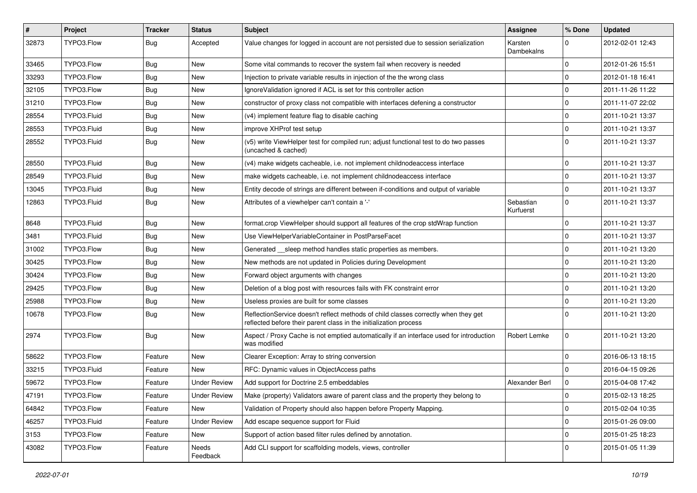| $\vert$ # | Project     | <b>Tracker</b> | <b>Status</b>       | Subject                                                                                                                                                 | <b>Assignee</b>        | % Done         | <b>Updated</b>   |
|-----------|-------------|----------------|---------------------|---------------------------------------------------------------------------------------------------------------------------------------------------------|------------------------|----------------|------------------|
| 32873     | TYPO3.Flow  | Bug            | Accepted            | Value changes for logged in account are not persisted due to session serialization                                                                      | Karsten<br>Dambekalns  | $\Omega$       | 2012-02-01 12:43 |
| 33465     | TYPO3.Flow  | Bug            | New                 | Some vital commands to recover the system fail when recovery is needed                                                                                  |                        | $\mathbf 0$    | 2012-01-26 15:51 |
| 33293     | TYPO3.Flow  | Bug            | New                 | Injection to private variable results in injection of the the wrong class                                                                               |                        | $\Omega$       | 2012-01-18 16:41 |
| 32105     | TYPO3.Flow  | <b>Bug</b>     | <b>New</b>          | IgnoreValidation ignored if ACL is set for this controller action                                                                                       |                        | $\Omega$       | 2011-11-26 11:22 |
| 31210     | TYPO3.Flow  | <b>Bug</b>     | New                 | constructor of proxy class not compatible with interfaces defening a constructor                                                                        |                        | $\mathbf 0$    | 2011-11-07 22:02 |
| 28554     | TYPO3.Fluid | <b>Bug</b>     | New                 | (v4) implement feature flag to disable caching                                                                                                          |                        | $\Omega$       | 2011-10-21 13:37 |
| 28553     | TYPO3.Fluid | Bug            | New                 | improve XHProf test setup                                                                                                                               |                        | $\mathbf 0$    | 2011-10-21 13:37 |
| 28552     | TYPO3.Fluid | Bug            | New                 | (v5) write ViewHelper test for compiled run; adjust functional test to do two passes<br>(uncached & cached)                                             |                        | $\Omega$       | 2011-10-21 13:37 |
| 28550     | TYPO3.Fluid | Bug            | New                 | (v4) make widgets cacheable, i.e. not implement childnodeaccess interface                                                                               |                        | $\mathbf 0$    | 2011-10-21 13:37 |
| 28549     | TYPO3.Fluid | Bug            | New                 | make widgets cacheable, i.e. not implement childnodeaccess interface                                                                                    |                        | $\Omega$       | 2011-10-21 13:37 |
| 13045     | TYPO3.Fluid | <b>Bug</b>     | <b>New</b>          | Entity decode of strings are different between if-conditions and output of variable                                                                     |                        | $\Omega$       | 2011-10-21 13:37 |
| 12863     | TYPO3.Fluid | Bug            | New                 | Attributes of a viewhelper can't contain a '-'                                                                                                          | Sebastian<br>Kurfuerst | $\mathbf 0$    | 2011-10-21 13:37 |
| 8648      | TYPO3.Fluid | Bug            | New                 | format.crop ViewHelper should support all features of the crop stdWrap function                                                                         |                        | $\mathbf 0$    | 2011-10-21 13:37 |
| 3481      | TYPO3.Fluid | Bug            | New                 | Use ViewHelperVariableContainer in PostParseFacet                                                                                                       |                        | $\Omega$       | 2011-10-21 13:37 |
| 31002     | TYPO3.Flow  | <b>Bug</b>     | <b>New</b>          | Generated __sleep method handles static properties as members.                                                                                          |                        | $\Omega$       | 2011-10-21 13:20 |
| 30425     | TYPO3.Flow  | Bug            | New                 | New methods are not updated in Policies during Development                                                                                              |                        | $\Omega$       | 2011-10-21 13:20 |
| 30424     | TYPO3.Flow  | Bug            | New                 | Forward object arguments with changes                                                                                                                   |                        | $\mathbf 0$    | 2011-10-21 13:20 |
| 29425     | TYPO3.Flow  | Bug            | <b>New</b>          | Deletion of a blog post with resources fails with FK constraint error                                                                                   |                        | $\Omega$       | 2011-10-21 13:20 |
| 25988     | TYPO3.Flow  | Bug            | New                 | Useless proxies are built for some classes                                                                                                              |                        | $\Omega$       | 2011-10-21 13:20 |
| 10678     | TYPO3.Flow  | <b>Bug</b>     | New                 | ReflectionService doesn't reflect methods of child classes correctly when they get<br>reflected before their parent class in the initialization process |                        | $\Omega$       | 2011-10-21 13:20 |
| 2974      | TYPO3.Flow  | <b>Bug</b>     | <b>New</b>          | Aspect / Proxy Cache is not emptied automatically if an interface used for introduction<br>was modified                                                 | Robert Lemke           | $\Omega$       | 2011-10-21 13:20 |
| 58622     | TYPO3.Flow  | Feature        | New                 | Clearer Exception: Array to string conversion                                                                                                           |                        | $\Omega$       | 2016-06-13 18:15 |
| 33215     | TYPO3.Fluid | Feature        | New                 | RFC: Dynamic values in ObjectAccess paths                                                                                                               |                        | $\Omega$       | 2016-04-15 09:26 |
| 59672     | TYPO3.Flow  | Feature        | <b>Under Review</b> | Add support for Doctrine 2.5 embeddables                                                                                                                | Alexander Berl         | 0              | 2015-04-08 17:42 |
| 47191     | TYPO3.Flow  | Feature        | <b>Under Review</b> | Make (property) Validators aware of parent class and the property they belong to                                                                        |                        | 0              | 2015-02-13 18:25 |
| 64842     | TYPO3.Flow  | Feature        | New                 | Validation of Property should also happen before Property Mapping.                                                                                      |                        | $\mathbf 0$    | 2015-02-04 10:35 |
| 46257     | TYPO3.Fluid | Feature        | <b>Under Review</b> | Add escape sequence support for Fluid                                                                                                                   |                        | $\overline{0}$ | 2015-01-26 09:00 |
| 3153      | TYPO3.Flow  | Feature        | New                 | Support of action based filter rules defined by annotation.                                                                                             |                        | $\mathbf 0$    | 2015-01-25 18:23 |
| 43082     | TYPO3.Flow  | Feature        | Needs<br>Feedback   | Add CLI support for scaffolding models, views, controller                                                                                               |                        | $\overline{0}$ | 2015-01-05 11:39 |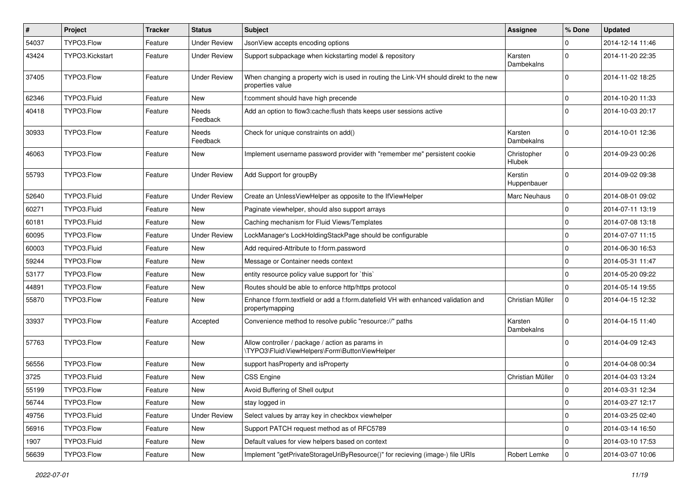| $\vert$ # | Project         | Tracker | <b>Status</b>       | <b>Subject</b>                                                                                            | <b>Assignee</b>        | % Done              | <b>Updated</b>   |
|-----------|-----------------|---------|---------------------|-----------------------------------------------------------------------------------------------------------|------------------------|---------------------|------------------|
| 54037     | TYPO3.Flow      | Feature | <b>Under Review</b> | JsonView accepts encoding options                                                                         |                        | 0                   | 2014-12-14 11:46 |
| 43424     | TYPO3.Kickstart | Feature | <b>Under Review</b> | Support subpackage when kickstarting model & repository                                                   | Karsten<br>Dambekalns  | 0                   | 2014-11-20 22:35 |
| 37405     | TYPO3.Flow      | Feature | <b>Under Review</b> | When changing a property wich is used in routing the Link-VH should direkt to the new<br>properties value |                        | $\Omega$            | 2014-11-02 18:25 |
| 62346     | TYPO3.Fluid     | Feature | New                 | f:comment should have high precende                                                                       |                        | 0                   | 2014-10-20 11:33 |
| 40418     | TYPO3.Flow      | Feature | Needs<br>Feedback   | Add an option to flow3:cache:flush thats keeps user sessions active                                       |                        | $\Omega$            | 2014-10-03 20:17 |
| 30933     | TYPO3.Flow      | Feature | Needs<br>Feedback   | Check for unique constraints on add()                                                                     | Karsten<br>Dambekalns  | 0                   | 2014-10-01 12:36 |
| 46063     | TYPO3.Flow      | Feature | New                 | Implement username password provider with "remember me" persistent cookie                                 | Christopher<br>Hlubek  | $\mathbf 0$         | 2014-09-23 00:26 |
| 55793     | TYPO3.Flow      | Feature | <b>Under Review</b> | Add Support for groupBy                                                                                   | Kerstin<br>Huppenbauer | 0                   | 2014-09-02 09:38 |
| 52640     | TYPO3.Fluid     | Feature | <b>Under Review</b> | Create an UnlessViewHelper as opposite to the IfViewHelper                                                | Marc Neuhaus           | 0                   | 2014-08-01 09:02 |
| 60271     | TYPO3.Fluid     | Feature | New                 | Paginate viewhelper, should also support arrays                                                           |                        | 0                   | 2014-07-11 13:19 |
| 60181     | TYPO3.Fluid     | Feature | New                 | Caching mechanism for Fluid Views/Templates                                                               |                        | 0                   | 2014-07-08 13:18 |
| 60095     | TYPO3.Flow      | Feature | <b>Under Review</b> | LockManager's LockHoldingStackPage should be configurable                                                 |                        | 0                   | 2014-07-07 11:15 |
| 60003     | TYPO3.Fluid     | Feature | New                 | Add required-Attribute to f:form.password                                                                 |                        | $\mathbf 0$         | 2014-06-30 16:53 |
| 59244     | TYPO3.Flow      | Feature | New                 | Message or Container needs context                                                                        |                        | 0                   | 2014-05-31 11:47 |
| 53177     | TYPO3.Flow      | Feature | <b>New</b>          | entity resource policy value support for `this`                                                           |                        | 0                   | 2014-05-20 09:22 |
| 44891     | TYPO3.Flow      | Feature | New                 | Routes should be able to enforce http/https protocol                                                      |                        | 0                   | 2014-05-14 19:55 |
| 55870     | TYPO3.Flow      | Feature | New                 | Enhance f:form.textfield or add a f:form.datefield VH with enhanced validation and<br>propertymapping     | Christian Müller       | $\mathbf 0$         | 2014-04-15 12:32 |
| 33937     | TYPO3.Flow      | Feature | Accepted            | Convenience method to resolve public "resource://" paths                                                  | Karsten<br>Dambekalns  | 0                   | 2014-04-15 11:40 |
| 57763     | TYPO3.Flow      | Feature | <b>New</b>          | Allow controller / package / action as params in<br>\TYPO3\Fluid\ViewHelpers\Form\ButtonViewHelper        |                        | 0                   | 2014-04-09 12:43 |
| 56556     | TYPO3.Flow      | Feature | <b>New</b>          | support has Property and is Property                                                                      |                        | 0                   | 2014-04-08 00:34 |
| 3725      | TYPO3.Fluid     | Feature | New                 | CSS Engine                                                                                                | Christian Müller       | $\mathbf 0$         | 2014-04-03 13:24 |
| 55199     | TYPO3.Flow      | Feature | New                 | Avoid Buffering of Shell output                                                                           |                        | $\mathbf 0$         | 2014-03-31 12:34 |
| 56744     | TYPO3.Flow      | Feature | New                 | stay logged in                                                                                            |                        | $\mathsf{O}\xspace$ | 2014-03-27 12:17 |
| 49756     | TYPO3.Fluid     | Feature | <b>Under Review</b> | Select values by array key in checkbox viewhelper                                                         |                        | $\pmb{0}$           | 2014-03-25 02:40 |
| 56916     | TYPO3.Flow      | Feature | New                 | Support PATCH request method as of RFC5789                                                                |                        | $\pmb{0}$           | 2014-03-14 16:50 |
| 1907      | TYPO3.Fluid     | Feature | New                 | Default values for view helpers based on context                                                          |                        | $\mathbf 0$         | 2014-03-10 17:53 |
| 56639     | TYPO3.Flow      | Feature | New                 | Implement "getPrivateStorageUriByResource()" for recieving (image-) file URIs                             | Robert Lemke           | $\pmb{0}$           | 2014-03-07 10:06 |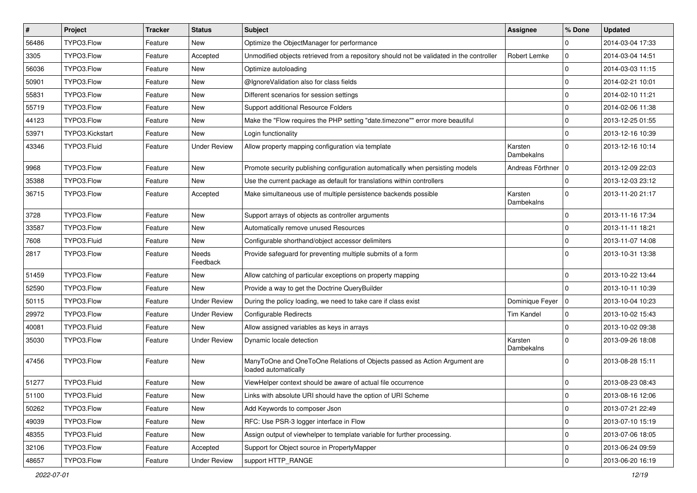| $\vert$ # | Project         | <b>Tracker</b> | <b>Status</b>       | <b>Subject</b>                                                                                    | <b>Assignee</b>       | % Done              | <b>Updated</b>   |
|-----------|-----------------|----------------|---------------------|---------------------------------------------------------------------------------------------------|-----------------------|---------------------|------------------|
| 56486     | TYPO3.Flow      | Feature        | New                 | Optimize the ObjectManager for performance                                                        |                       | 0                   | 2014-03-04 17:33 |
| 3305      | TYPO3.Flow      | Feature        | Accepted            | Unmodified objects retrieved from a repository should not be validated in the controller          | Robert Lemke          | $\pmb{0}$           | 2014-03-04 14:51 |
| 56036     | TYPO3.Flow      | Feature        | New                 | Optimize autoloading                                                                              |                       | $\mathbf 0$         | 2014-03-03 11:15 |
| 50901     | TYPO3.Flow      | Feature        | New                 | @IgnoreValidation also for class fields                                                           |                       | 0                   | 2014-02-21 10:01 |
| 55831     | TYPO3.Flow      | Feature        | <b>New</b>          | Different scenarios for session settings                                                          |                       | 0                   | 2014-02-10 11:21 |
| 55719     | TYPO3.Flow      | Feature        | New                 | Support additional Resource Folders                                                               |                       | $\mathbf 0$         | 2014-02-06 11:38 |
| 44123     | TYPO3.Flow      | Feature        | New                 | Make the "Flow requires the PHP setting "date.timezone"" error more beautiful                     |                       | $\mathbf 0$         | 2013-12-25 01:55 |
| 53971     | TYPO3.Kickstart | Feature        | New                 | Login functionality                                                                               |                       | $\mathbf 0$         | 2013-12-16 10:39 |
| 43346     | TYPO3.Fluid     | Feature        | <b>Under Review</b> | Allow property mapping configuration via template                                                 | Karsten<br>Dambekalns | 0                   | 2013-12-16 10:14 |
| 9968      | TYPO3.Flow      | Feature        | New                 | Promote security publishing configuration automatically when persisting models                    | Andreas Förthner   0  |                     | 2013-12-09 22:03 |
| 35388     | TYPO3.Flow      | Feature        | <b>New</b>          | Use the current package as default for translations within controllers                            |                       | 0                   | 2013-12-03 23:12 |
| 36715     | TYPO3.Flow      | Feature        | Accepted            | Make simultaneous use of multiple persistence backends possible                                   | Karsten<br>Dambekalns | 0                   | 2013-11-20 21:17 |
| 3728      | TYPO3.Flow      | Feature        | <b>New</b>          | Support arrays of objects as controller arguments                                                 |                       | $\pmb{0}$           | 2013-11-16 17:34 |
| 33587     | TYPO3.Flow      | Feature        | New                 | Automatically remove unused Resources                                                             |                       | $\mathbf 0$         | 2013-11-11 18:21 |
| 7608      | TYPO3.Fluid     | Feature        | New                 | Configurable shorthand/object accessor delimiters                                                 |                       | 0                   | 2013-11-07 14:08 |
| 2817      | TYPO3.Flow      | Feature        | Needs<br>Feedback   | Provide safeguard for preventing multiple submits of a form                                       |                       | 0                   | 2013-10-31 13:38 |
| 51459     | TYPO3.Flow      | Feature        | <b>New</b>          | Allow catching of particular exceptions on property mapping                                       |                       | 0                   | 2013-10-22 13:44 |
| 52590     | TYPO3.Flow      | Feature        | New                 | Provide a way to get the Doctrine QueryBuilder                                                    |                       | 0                   | 2013-10-11 10:39 |
| 50115     | TYPO3.Flow      | Feature        | <b>Under Review</b> | During the policy loading, we need to take care if class exist                                    | Dominique Feyer       | $\overline{0}$      | 2013-10-04 10:23 |
| 29972     | TYPO3.Flow      | Feature        | <b>Under Review</b> | Configurable Redirects                                                                            | <b>Tim Kandel</b>     | $\mathbf 0$         | 2013-10-02 15:43 |
| 40081     | TYPO3.Fluid     | Feature        | New                 | Allow assigned variables as keys in arrays                                                        |                       | $\mathbf 0$         | 2013-10-02 09:38 |
| 35030     | TYPO3.Flow      | Feature        | <b>Under Review</b> | Dynamic locale detection                                                                          | Karsten<br>Dambekalns | 0                   | 2013-09-26 18:08 |
| 47456     | TYPO3.Flow      | Feature        | <b>New</b>          | ManyToOne and OneToOne Relations of Objects passed as Action Argument are<br>loaded automatically |                       | $\Omega$            | 2013-08-28 15:11 |
| 51277     | TYPO3.Fluid     | Feature        | <b>New</b>          | ViewHelper context should be aware of actual file occurrence                                      |                       | $\mathbf 0$         | 2013-08-23 08:43 |
| 51100     | TYPO3.Fluid     | Feature        | New                 | Links with absolute URI should have the option of URI Scheme                                      |                       | 0                   | 2013-08-16 12:06 |
| 50262     | TYPO3.Flow      | Feature        | <b>New</b>          | Add Keywords to composer Json                                                                     |                       | $\mathsf{O}\xspace$ | 2013-07-21 22:49 |
| 49039     | TYPO3.Flow      | Feature        | New                 | RFC: Use PSR-3 logger interface in Flow                                                           |                       | $\mathbf 0$         | 2013-07-10 15:19 |
| 48355     | TYPO3.Fluid     | Feature        | New                 | Assign output of viewhelper to template variable for further processing.                          |                       | 0                   | 2013-07-06 18:05 |
| 32106     | TYPO3.Flow      | Feature        | Accepted            | Support for Object source in PropertyMapper                                                       |                       | $\mathbf 0$         | 2013-06-24 09:59 |
| 48657     | TYPO3.Flow      | Feature        | <b>Under Review</b> | support HTTP RANGE                                                                                |                       | $\pmb{0}$           | 2013-06-20 16:19 |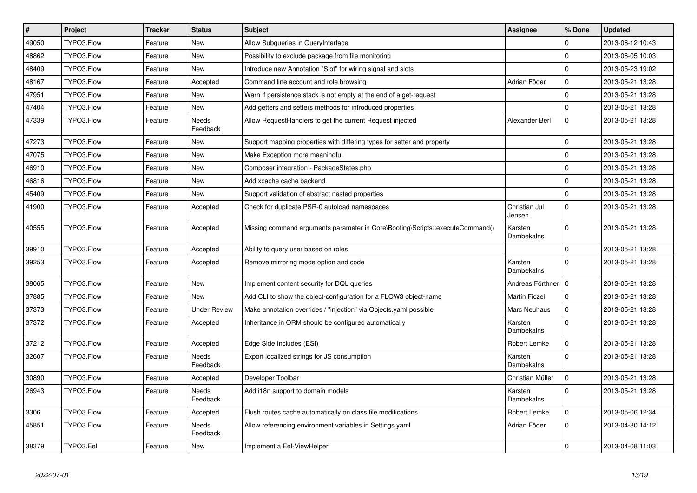| $\pmb{\#}$ | Project    | <b>Tracker</b> | <b>Status</b>       | <b>Subject</b>                                                                | Assignee                     | % Done         | <b>Updated</b>   |
|------------|------------|----------------|---------------------|-------------------------------------------------------------------------------|------------------------------|----------------|------------------|
| 49050      | TYPO3.Flow | Feature        | New                 | Allow Subqueries in QueryInterface                                            |                              | $\Omega$       | 2013-06-12 10:43 |
| 48862      | TYPO3.Flow | Feature        | New                 | Possibility to exclude package from file monitoring                           |                              | $\overline{0}$ | 2013-06-05 10:03 |
| 48409      | TYPO3.Flow | Feature        | New                 | Introduce new Annotation "Slot" for wiring signal and slots                   |                              | $\Omega$       | 2013-05-23 19:02 |
| 48167      | TYPO3.Flow | Feature        | Accepted            | Command line account and role browsing                                        | Adrian Föder                 | 0              | 2013-05-21 13:28 |
| 47951      | TYPO3.Flow | Feature        | New                 | Warn if persistence stack is not empty at the end of a get-request            |                              | $\Omega$       | 2013-05-21 13:28 |
| 47404      | TYPO3.Flow | Feature        | <b>New</b>          | Add getters and setters methods for introduced properties                     |                              | $\overline{0}$ | 2013-05-21 13:28 |
| 47339      | TYPO3.Flow | Feature        | Needs<br>Feedback   | Allow RequestHandlers to get the current Request injected                     | Alexander Berl               | $\Omega$       | 2013-05-21 13:28 |
| 47273      | TYPO3.Flow | Feature        | New                 | Support mapping properties with differing types for setter and property       |                              | 0              | 2013-05-21 13:28 |
| 47075      | TYPO3.Flow | Feature        | New                 | Make Exception more meaningful                                                |                              | $\mathbf 0$    | 2013-05-21 13:28 |
| 46910      | TYPO3.Flow | Feature        | New                 | Composer integration - PackageStates.php                                      |                              | 0              | 2013-05-21 13:28 |
| 46816      | TYPO3.Flow | Feature        | <b>New</b>          | Add xcache cache backend                                                      |                              | $\overline{0}$ | 2013-05-21 13:28 |
| 45409      | TYPO3.Flow | Feature        | New                 | Support validation of abstract nested properties                              |                              | 0              | 2013-05-21 13:28 |
| 41900      | TYPO3.Flow | Feature        | Accepted            | Check for duplicate PSR-0 autoload namespaces                                 | Christian Jul<br>Jensen      | $\mathbf 0$    | 2013-05-21 13:28 |
| 40555      | TYPO3.Flow | Feature        | Accepted            | Missing command arguments parameter in Core\Booting\Scripts::executeCommand() | Karsten<br>Dambekalns        | $\Omega$       | 2013-05-21 13:28 |
| 39910      | TYPO3.Flow | Feature        | Accepted            | Ability to query user based on roles                                          |                              | $\overline{0}$ | 2013-05-21 13:28 |
| 39253      | TYPO3.Flow | Feature        | Accepted            | Remove mirroring mode option and code                                         | Karsten<br>Dambekalns        | $\Omega$       | 2013-05-21 13:28 |
| 38065      | TYPO3.Flow | Feature        | <b>New</b>          | Implement content security for DQL queries                                    | Andreas Förthner   0         |                | 2013-05-21 13:28 |
| 37885      | TYPO3.Flow | Feature        | <b>New</b>          | Add CLI to show the object-configuration for a FLOW3 object-name              | <b>Martin Ficzel</b>         | $\mathbf 0$    | 2013-05-21 13:28 |
| 37373      | TYPO3.Flow | Feature        | <b>Under Review</b> | Make annotation overrides / "injection" via Objects.yaml possible             | <b>Marc Neuhaus</b>          | $\overline{0}$ | 2013-05-21 13:28 |
| 37372      | TYPO3.Flow | Feature        | Accepted            | Inheritance in ORM should be configured automatically                         | Karsten<br>Dambekalns        | $\Omega$       | 2013-05-21 13:28 |
| 37212      | TYPO3.Flow | Feature        | Accepted            | Edge Side Includes (ESI)                                                      | Robert Lemke                 | $\mathbf 0$    | 2013-05-21 13:28 |
| 32607      | TYPO3.Flow | Feature        | Needs<br>Feedback   | Export localized strings for JS consumption                                   | Karsten<br><b>Dambekalns</b> | $\Omega$       | 2013-05-21 13:28 |
| 30890      | TYPO3.Flow | Feature        | Accepted            | Developer Toolbar                                                             | Christian Müller             | $\mathbf 0$    | 2013-05-21 13:28 |
| 26943      | TYPO3.Flow | Feature        | Needs<br>Feedback   | Add i18n support to domain models                                             | Karsten<br>Dambekalns        | $\Omega$       | 2013-05-21 13:28 |
| 3306       | TYPO3.Flow | Feature        | Accepted            | Flush routes cache automatically on class file modifications                  | Robert Lemke                 | $\mathbf 0$    | 2013-05-06 12:34 |
| 45851      | TYPO3.Flow | Feature        | Needs<br>Feedback   | Allow referencing environment variables in Settings.yaml                      | Adrian Föder                 | $\Omega$       | 2013-04-30 14:12 |
| 38379      | TYPO3.Eel  | Feature        | New                 | Implement a Eel-ViewHelper                                                    |                              | 0              | 2013-04-08 11:03 |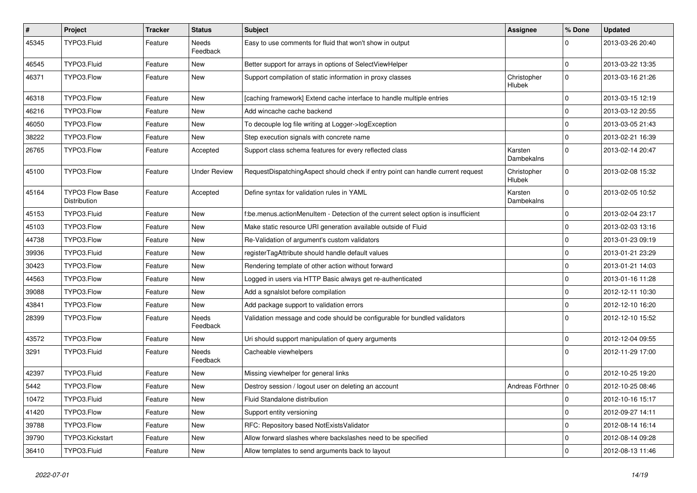| $\vert$ # | Project                                | <b>Tracker</b> | <b>Status</b>       | <b>Subject</b>                                                                     | <b>Assignee</b>       | % Done      | <b>Updated</b>   |
|-----------|----------------------------------------|----------------|---------------------|------------------------------------------------------------------------------------|-----------------------|-------------|------------------|
| 45345     | TYPO3.Fluid                            | Feature        | Needs<br>Feedback   | Easy to use comments for fluid that won't show in output                           |                       | 0           | 2013-03-26 20:40 |
| 46545     | TYPO3.Fluid                            | Feature        | New                 | Better support for arrays in options of SelectViewHelper                           |                       | $\mathbf 0$ | 2013-03-22 13:35 |
| 46371     | TYPO3.Flow                             | Feature        | New                 | Support compilation of static information in proxy classes                         | Christopher<br>Hlubek | $\mathbf 0$ | 2013-03-16 21:26 |
| 46318     | TYPO3.Flow                             | Feature        | <b>New</b>          | [caching framework] Extend cache interface to handle multiple entries              |                       | 0           | 2013-03-15 12:19 |
| 46216     | TYPO3.Flow                             | Feature        | New                 | Add wincache cache backend                                                         |                       | $\mathbf 0$ | 2013-03-12 20:55 |
| 46050     | TYPO3.Flow                             | Feature        | New                 | To decouple log file writing at Logger->logException                               |                       | $\mathbf 0$ | 2013-03-05 21:43 |
| 38222     | TYPO3.Flow                             | Feature        | <b>New</b>          | Step execution signals with concrete name                                          |                       | 0           | 2013-02-21 16:39 |
| 26765     | TYPO3.Flow                             | Feature        | Accepted            | Support class schema features for every reflected class                            | Karsten<br>Dambekalns | 0           | 2013-02-14 20:47 |
| 45100     | TYPO3.Flow                             | Feature        | <b>Under Review</b> | RequestDispatchingAspect should check if entry point can handle current request    | Christopher<br>Hlubek | 0           | 2013-02-08 15:32 |
| 45164     | <b>TYPO3 Flow Base</b><br>Distribution | Feature        | Accepted            | Define syntax for validation rules in YAML                                         | Karsten<br>Dambekalns | 0           | 2013-02-05 10:52 |
| 45153     | TYPO3.Fluid                            | Feature        | <b>New</b>          | f:be.menus.actionMenuItem - Detection of the current select option is insufficient |                       | 0           | 2013-02-04 23:17 |
| 45103     | TYPO3.Flow                             | Feature        | <b>New</b>          | Make static resource URI generation available outside of Fluid                     |                       | 0           | 2013-02-03 13:16 |
| 44738     | TYPO3.Flow                             | Feature        | <b>New</b>          | Re-Validation of argument's custom validators                                      |                       | 0           | 2013-01-23 09:19 |
| 39936     | TYPO3.Fluid                            | Feature        | New                 | registerTagAttribute should handle default values                                  |                       | 0           | 2013-01-21 23:29 |
| 30423     | TYPO3.Flow                             | Feature        | New                 | Rendering template of other action without forward                                 |                       | 0           | 2013-01-21 14:03 |
| 44563     | TYPO3.Flow                             | Feature        | <b>New</b>          | Logged in users via HTTP Basic always get re-authenticated                         |                       | $\mathbf 0$ | 2013-01-16 11:28 |
| 39088     | TYPO3.Flow                             | Feature        | New                 | Add a sgnalslot before compilation                                                 |                       | 0           | 2012-12-11 10:30 |
| 43841     | TYPO3.Flow                             | Feature        | <b>New</b>          | Add package support to validation errors                                           |                       | 0           | 2012-12-10 16:20 |
| 28399     | TYPO3.Flow                             | Feature        | Needs<br>Feedback   | Validation message and code should be configurable for bundled validators          |                       | 0           | 2012-12-10 15:52 |
| 43572     | TYPO3.Flow                             | Feature        | <b>New</b>          | Uri should support manipulation of query arguments                                 |                       | 0           | 2012-12-04 09:55 |
| 3291      | TYPO3.Fluid                            | Feature        | Needs<br>Feedback   | Cacheable viewhelpers                                                              |                       | $\Omega$    | 2012-11-29 17:00 |
| 42397     | TYPO3.Fluid                            | Feature        | <b>New</b>          | Missing viewhelper for general links                                               |                       | $\mathbf 0$ | 2012-10-25 19:20 |
| 5442      | TYPO3.Flow                             | Feature        | New                 | Destroy session / logout user on deleting an account                               | Andreas Förthner   0  |             | 2012-10-25 08:46 |
| 10472     | TYPO3.Fluid                            | Feature        | New                 | Fluid Standalone distribution                                                      |                       | $\pmb{0}$   | 2012-10-16 15:17 |
| 41420     | TYPO3.Flow                             | Feature        | New                 | Support entity versioning                                                          |                       | $\mathbf 0$ | 2012-09-27 14:11 |
| 39788     | TYPO3.Flow                             | Feature        | New                 | RFC: Repository based NotExistsValidator                                           |                       | 0           | 2012-08-14 16:14 |
| 39790     | TYPO3.Kickstart                        | Feature        | New                 | Allow forward slashes where backslashes need to be specified                       |                       | 0           | 2012-08-14 09:28 |
| 36410     | TYPO3.Fluid                            | Feature        | New                 | Allow templates to send arguments back to layout                                   |                       | $\pmb{0}$   | 2012-08-13 11:46 |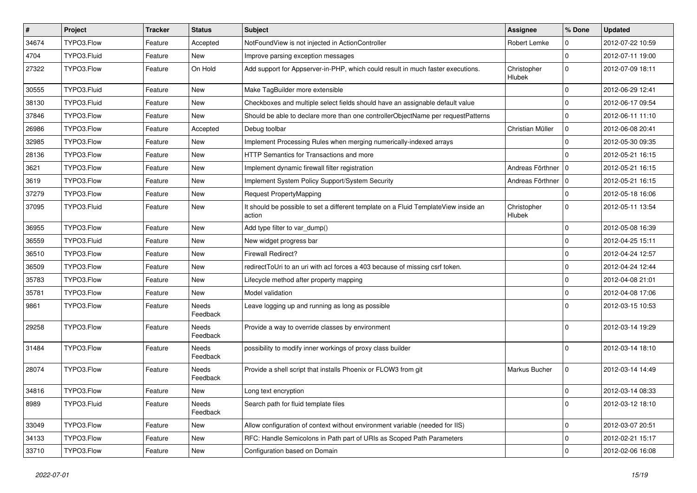| $\sharp$ | Project     | <b>Tracker</b> | <b>Status</b>     | <b>Subject</b>                                                                                | <b>Assignee</b>              | % Done      | <b>Updated</b>   |
|----------|-------------|----------------|-------------------|-----------------------------------------------------------------------------------------------|------------------------------|-------------|------------------|
| 34674    | TYPO3.Flow  | Feature        | Accepted          | NotFoundView is not injected in ActionController                                              | Robert Lemke                 | 0           | 2012-07-22 10:59 |
| 4704     | TYPO3.Fluid | Feature        | New               | Improve parsing exception messages                                                            |                              | $\mathbf 0$ | 2012-07-11 19:00 |
| 27322    | TYPO3.Flow  | Feature        | On Hold           | Add support for Appserver-in-PHP, which could result in much faster executions.               | Christopher<br>Hlubek        | $\mathbf 0$ | 2012-07-09 18:11 |
| 30555    | TYPO3.Fluid | Feature        | New               | Make TagBuilder more extensible                                                               |                              | $\mathbf 0$ | 2012-06-29 12:41 |
| 38130    | TYPO3.Fluid | Feature        | New               | Checkboxes and multiple select fields should have an assignable default value                 |                              | 0           | 2012-06-17 09:54 |
| 37846    | TYPO3.Flow  | Feature        | <b>New</b>        | Should be able to declare more than one controllerObjectName per requestPatterns              |                              | $\mathbf 0$ | 2012-06-11 11:10 |
| 26986    | TYPO3.Flow  | Feature        | Accepted          | Debug toolbar                                                                                 | Christian Müller             | $\mathbf 0$ | 2012-06-08 20:41 |
| 32985    | TYPO3.Flow  | Feature        | New               | Implement Processing Rules when merging numerically-indexed arrays                            |                              | $\mathbf 0$ | 2012-05-30 09:35 |
| 28136    | TYPO3.Flow  | Feature        | New               | HTTP Semantics for Transactions and more                                                      |                              | $\mathbf 0$ | 2012-05-21 16:15 |
| 3621     | TYPO3.Flow  | Feature        | New               | Implement dynamic firewall filter registration                                                | Andreas Förthner   0         |             | 2012-05-21 16:15 |
| 3619     | TYPO3.Flow  | Feature        | <b>New</b>        | Implement System Policy Support/System Security                                               | Andreas Förthner   0         |             | 2012-05-21 16:15 |
| 37279    | TYPO3.Flow  | Feature        | New               | <b>Request PropertyMapping</b>                                                                |                              | 0           | 2012-05-18 16:06 |
| 37095    | TYPO3.Fluid | Feature        | <b>New</b>        | It should be possible to set a different template on a Fluid TemplateView inside an<br>action | Christopher<br><b>Hlubek</b> | $\mathbf 0$ | 2012-05-11 13:54 |
| 36955    | TYPO3.Flow  | Feature        | <b>New</b>        | Add type filter to var_dump()                                                                 |                              | $\mathbf 0$ | 2012-05-08 16:39 |
| 36559    | TYPO3.Fluid | Feature        | New               | New widget progress bar                                                                       |                              | $\mathbf 0$ | 2012-04-25 15:11 |
| 36510    | TYPO3.Flow  | Feature        | <b>New</b>        | Firewall Redirect?                                                                            |                              | $\mathbf 0$ | 2012-04-24 12:57 |
| 36509    | TYPO3.Flow  | Feature        | <b>New</b>        | redirectToUri to an uri with acl forces a 403 because of missing csrf token.                  |                              | $\mathbf 0$ | 2012-04-24 12:44 |
| 35783    | TYPO3.Flow  | Feature        | <b>New</b>        | Lifecycle method after property mapping                                                       |                              | $\mathbf 0$ | 2012-04-08 21:01 |
| 35781    | TYPO3.Flow  | Feature        | New               | Model validation                                                                              |                              | $\mathbf 0$ | 2012-04-08 17:06 |
| 9861     | TYPO3.Flow  | Feature        | Needs<br>Feedback | Leave logging up and running as long as possible                                              |                              | $\Omega$    | 2012-03-15 10:53 |
| 29258    | TYPO3.Flow  | Feature        | Needs<br>Feedback | Provide a way to override classes by environment                                              |                              | $\Omega$    | 2012-03-14 19:29 |
| 31484    | TYPO3.Flow  | Feature        | Needs<br>Feedback | possibility to modify inner workings of proxy class builder                                   |                              | $\mathbf 0$ | 2012-03-14 18:10 |
| 28074    | TYPO3.Flow  | Feature        | Needs<br>Feedback | Provide a shell script that installs Phoenix or FLOW3 from git                                | Markus Bucher                | $\mathbf 0$ | 2012-03-14 14:49 |
| 34816    | TYPO3.Flow  | Feature        | <b>New</b>        | Long text encryption                                                                          |                              | $\mathbf 0$ | 2012-03-14 08:33 |
| 8989     | TYPO3.Fluid | Feature        | Needs<br>Feedback | Search path for fluid template files                                                          |                              | $\mathbf 0$ | 2012-03-12 18:10 |
| 33049    | TYPO3.Flow  | Feature        | New               | Allow configuration of context without environment variable (needed for IIS)                  |                              | 0           | 2012-03-07 20:51 |
| 34133    | TYPO3.Flow  | Feature        | New               | RFC: Handle Semicolons in Path part of URIs as Scoped Path Parameters                         |                              | 0           | 2012-02-21 15:17 |
| 33710    | TYPO3.Flow  | Feature        | New               | Configuration based on Domain                                                                 |                              | 0           | 2012-02-06 16:08 |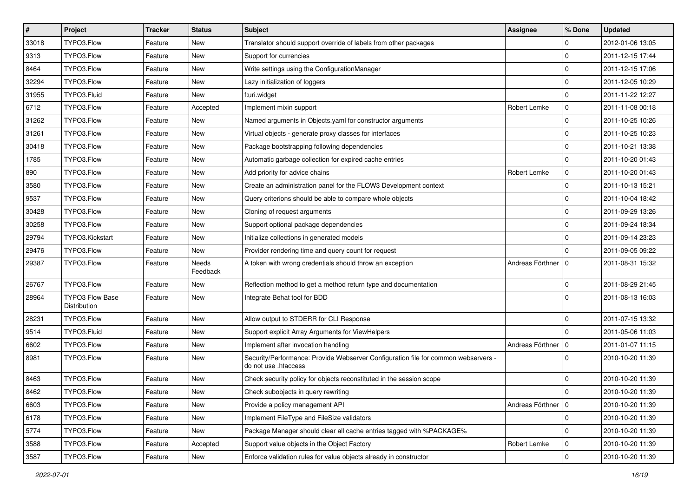| $\sharp$ | <b>Project</b>                         | <b>Tracker</b> | <b>Status</b>     | <b>Subject</b>                                                                                             | <b>Assignee</b>      | % Done         | <b>Updated</b>   |
|----------|----------------------------------------|----------------|-------------------|------------------------------------------------------------------------------------------------------------|----------------------|----------------|------------------|
| 33018    | TYPO3.Flow                             | Feature        | New               | Translator should support override of labels from other packages                                           |                      | $\mathbf 0$    | 2012-01-06 13:05 |
| 9313     | TYPO3.Flow                             | Feature        | New               | Support for currencies                                                                                     |                      | $\mathbf 0$    | 2011-12-15 17:44 |
| 8464     | TYPO3.Flow                             | Feature        | New               | Write settings using the ConfigurationManager                                                              |                      | $\mathbf 0$    | 2011-12-15 17:06 |
| 32294    | TYPO3.Flow                             | Feature        | New               | Lazy initialization of loggers                                                                             |                      | $\mathbf 0$    | 2011-12-05 10:29 |
| 31955    | TYPO3.Fluid                            | Feature        | <b>New</b>        | f:uri.widget                                                                                               |                      | $\mathbf 0$    | 2011-11-22 12:27 |
| 6712     | TYPO3.Flow                             | Feature        | Accepted          | Implement mixin support                                                                                    | Robert Lemke         | 0              | 2011-11-08 00:18 |
| 31262    | TYPO3.Flow                             | Feature        | New               | Named arguments in Objects.yaml for constructor arguments                                                  |                      | $\mathbf 0$    | 2011-10-25 10:26 |
| 31261    | TYPO3.Flow                             | Feature        | New               | Virtual objects - generate proxy classes for interfaces                                                    |                      | $\mathbf 0$    | 2011-10-25 10:23 |
| 30418    | TYPO3.Flow                             | Feature        | New               | Package bootstrapping following dependencies                                                               |                      | $\mathbf 0$    | 2011-10-21 13:38 |
| 1785     | TYPO3.Flow                             | Feature        | New               | Automatic garbage collection for expired cache entries                                                     |                      | $\mathbf 0$    | 2011-10-20 01:43 |
| 890      | TYPO3.Flow                             | Feature        | New               | Add priority for advice chains                                                                             | Robert Lemke         | 0              | 2011-10-20 01:43 |
| 3580     | TYPO3.Flow                             | Feature        | New               | Create an administration panel for the FLOW3 Development context                                           |                      | $\mathbf 0$    | 2011-10-13 15:21 |
| 9537     | TYPO3.Flow                             | Feature        | New               | Query criterions should be able to compare whole objects                                                   |                      | $\mathbf 0$    | 2011-10-04 18:42 |
| 30428    | TYPO3.Flow                             | Feature        | New               | Cloning of request arguments                                                                               |                      | $\mathbf 0$    | 2011-09-29 13:26 |
| 30258    | TYPO3.Flow                             | Feature        | <b>New</b>        | Support optional package dependencies                                                                      |                      | $\mathbf 0$    | 2011-09-24 18:34 |
| 29794    | TYPO3.Kickstart                        | Feature        | New               | Initialize collections in generated models                                                                 |                      | $\mathbf 0$    | 2011-09-14 23:23 |
| 29476    | TYPO3.Flow                             | Feature        | New               | Provider rendering time and query count for request                                                        |                      | $\Omega$       | 2011-09-05 09:22 |
| 29387    | TYPO3.Flow                             | Feature        | Needs<br>Feedback | A token with wrong credentials should throw an exception                                                   | Andreas Förthner   0 |                | 2011-08-31 15:32 |
| 26767    | TYPO3.Flow                             | Feature        | New               | Reflection method to get a method return type and documentation                                            |                      | $\mathbf 0$    | 2011-08-29 21:45 |
| 28964    | <b>TYPO3 Flow Base</b><br>Distribution | Feature        | New               | Integrate Behat tool for BDD                                                                               |                      | $\Omega$       | 2011-08-13 16:03 |
| 28231    | TYPO3.Flow                             | Feature        | <b>New</b>        | Allow output to STDERR for CLI Response                                                                    |                      | $\mathbf 0$    | 2011-07-15 13:32 |
| 9514     | TYPO3.Fluid                            | Feature        | New               | Support explicit Array Arguments for ViewHelpers                                                           |                      | $\mathbf 0$    | 2011-05-06 11:03 |
| 6602     | TYPO3.Flow                             | Feature        | New               | Implement after invocation handling                                                                        | Andreas Förthner     | $\overline{0}$ | 2011-01-07 11:15 |
| 8981     | TYPO3.Flow                             | Feature        | New               | Security/Performance: Provide Webserver Configuration file for common webservers -<br>do not use .htaccess |                      | $\Omega$       | 2010-10-20 11:39 |
| 8463     | TYPO3.Flow                             | Feature        | New               | Check security policy for objects reconstituted in the session scope                                       |                      | $\mathbf 0$    | 2010-10-20 11:39 |
| 8462     | TYPO3.Flow                             | Feature        | New               | Check subobjects in query rewriting                                                                        |                      | $\Omega$       | 2010-10-20 11:39 |
| 6603     | TYPO3.Flow                             | Feature        | New               | Provide a policy management API                                                                            | Andreas Förthner   0 |                | 2010-10-20 11:39 |
| 6178     | TYPO3.Flow                             | Feature        | New               | Implement FileType and FileSize validators                                                                 |                      | 0              | 2010-10-20 11:39 |
| 5774     | TYPO3.Flow                             | Feature        | New               | Package Manager should clear all cache entries tagged with %PACKAGE%                                       |                      | $\mathbf 0$    | 2010-10-20 11:39 |
| 3588     | TYPO3.Flow                             | Feature        | Accepted          | Support value objects in the Object Factory                                                                | Robert Lemke         | $\mathbf 0$    | 2010-10-20 11:39 |
| 3587     | TYPO3.Flow                             | Feature        | New               | Enforce validation rules for value objects already in constructor                                          |                      | $\mathbf 0$    | 2010-10-20 11:39 |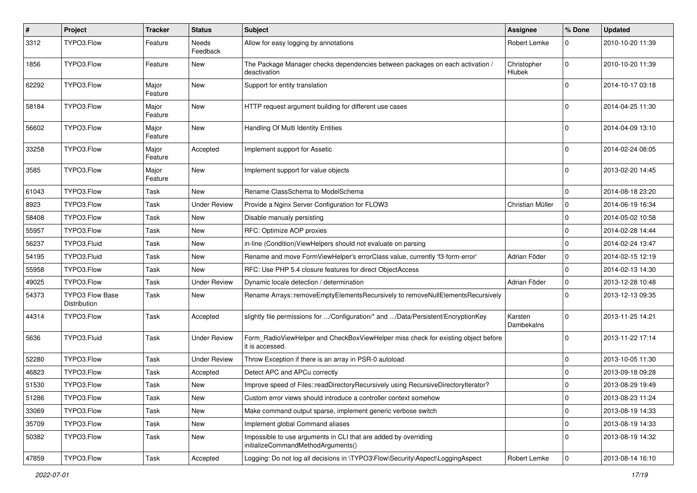| #     | Project                                | <b>Tracker</b>   | <b>Status</b>            | Subject                                                                                               | Assignee                     | % Done      | <b>Updated</b>   |
|-------|----------------------------------------|------------------|--------------------------|-------------------------------------------------------------------------------------------------------|------------------------------|-------------|------------------|
| 3312  | TYPO3.Flow                             | Feature          | <b>Needs</b><br>Feedback | Allow for easy logging by annotations                                                                 | Robert Lemke                 | $\mathbf 0$ | 2010-10-20 11:39 |
| 1856  | TYPO3.Flow                             | Feature          | New                      | The Package Manager checks dependencies between packages on each activation /<br>deactivation         | Christopher<br><b>Hlubek</b> | $\Omega$    | 2010-10-20 11:39 |
| 62292 | TYPO3.Flow                             | Major<br>Feature | <b>New</b>               | Support for entity translation                                                                        |                              | $\mathbf 0$ | 2014-10-17 03:18 |
| 58184 | TYPO3.Flow                             | Major<br>Feature | <b>New</b>               | HTTP request argument building for different use cases                                                |                              | $\Omega$    | 2014-04-25 11:30 |
| 56602 | TYPO3.Flow                             | Major<br>Feature | <b>New</b>               | Handling Of Multi Identity Entities                                                                   |                              | $\Omega$    | 2014-04-09 13:10 |
| 33258 | TYPO3.Flow                             | Major<br>Feature | Accepted                 | Implement support for Assetic                                                                         |                              | $\Omega$    | 2014-02-24 08:05 |
| 3585  | TYPO3.Flow                             | Major<br>Feature | <b>New</b>               | Implement support for value objects                                                                   |                              | $\Omega$    | 2013-02-20 14:45 |
| 61043 | TYPO3.Flow                             | Task             | <b>New</b>               | Rename ClassSchema to ModelSchema                                                                     |                              | $\mathbf 0$ | 2014-08-18 23:20 |
| 8923  | TYPO3.Flow                             | Task             | <b>Under Review</b>      | Provide a Nginx Server Configuration for FLOW3                                                        | Christian Müller             | $\mathbf 0$ | 2014-06-19 16:34 |
| 58408 | TYPO3.Flow                             | Task             | New                      | Disable manualy persisting                                                                            |                              | $\mathbf 0$ | 2014-05-02 10:58 |
| 55957 | TYPO3.Flow                             | Task             | New                      | RFC: Optimize AOP proxies                                                                             |                              | $\mathbf 0$ | 2014-02-28 14:44 |
| 56237 | TYPO3.Fluid                            | Task             | New                      | in-line (Condition) ViewHelpers should not evaluate on parsing                                        |                              | $\mathbf 0$ | 2014-02-24 13:47 |
| 54195 | TYPO3.Fluid                            | Task             | <b>New</b>               | Rename and move FormViewHelper's errorClass value, currently 'f3-form-error'                          | Adrian Föder                 | $\mathbf 0$ | 2014-02-15 12:19 |
| 55958 | TYPO3.Flow                             | Task             | <b>New</b>               | RFC: Use PHP 5.4 closure features for direct ObjectAccess                                             |                              | $\mathbf 0$ | 2014-02-13 14:30 |
| 49025 | TYPO3.Flow                             | Task             | <b>Under Review</b>      | Dynamic locale detection / determination                                                              | Adrian Föder                 | $\mathbf 0$ | 2013-12-28 10:48 |
| 54373 | <b>TYPO3 Flow Base</b><br>Distribution | Task             | New                      | Rename Arrays::removeEmptyElementsRecursively to removeNullElementsRecursively                        |                              | $\Omega$    | 2013-12-13 09:35 |
| 44314 | TYPO3.Flow                             | Task             | Accepted                 | slightly file permissions for /Configuration/* and /Data/Persistent/EncryptionKey                     | Karsten<br>Dambekalns        | $\Omega$    | 2013-11-25 14:21 |
| 5636  | TYPO3.Fluid                            | Task             | <b>Under Review</b>      | Form_RadioViewHelper and CheckBoxViewHelper miss check for existing object before<br>it is accessed.  |                              | $\Omega$    | 2013-11-22 17:14 |
| 52280 | TYPO3.Flow                             | Task             | <b>Under Review</b>      | Throw Exception if there is an array in PSR-0 autoload                                                |                              | $\mathbf 0$ | 2013-10-05 11:30 |
| 46823 | TYPO3.Flow                             | Task             | Accepted                 | Detect APC and APCu correctly                                                                         |                              | $\mathbf 0$ | 2013-09-18 09:28 |
| 51530 | TYPO3.Flow                             | Task             | New                      | Improve speed of Files::readDirectoryRecursively using RecursiveDirectoryIterator?                    |                              | $\mathbf 0$ | 2013-08-29 19:49 |
| 51286 | TYPO3.Flow                             | Task             | New                      | Custom error views should introduce a controller context somehow                                      |                              | 0           | 2013-08-23 11:24 |
| 33069 | TYPO3.Flow                             | Task             | New                      | Make command output sparse, implement generic verbose switch                                          |                              | $\mathbf 0$ | 2013-08-19 14:33 |
| 35709 | TYPO3.Flow                             | Task             | <b>New</b>               | Implement global Command aliases                                                                      |                              | $\mathbf 0$ | 2013-08-19 14:33 |
| 50382 | TYPO3.Flow                             | Task             | New                      | Impossible to use arguments in CLI that are added by overriding<br>initializeCommandMethodArguments() |                              | $\mathbf 0$ | 2013-08-19 14:32 |
| 47859 | TYPO3.Flow                             | Task             | Accepted                 | Logging: Do not log all decisions in \TYPO3\Flow\Security\Aspect\LoggingAspect                        | Robert Lemke                 | $\mathbf 0$ | 2013-08-14 16:10 |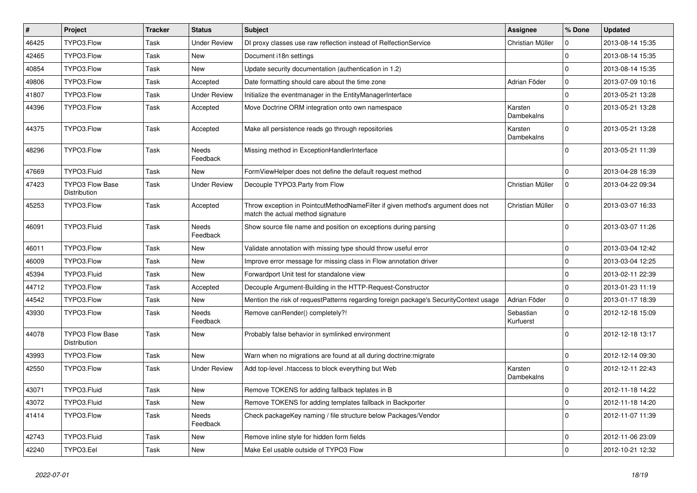| $\vert$ # | Project                                | <b>Tracker</b> | <b>Status</b>            | <b>Subject</b>                                                                                                       | <b>Assignee</b>        | % Done      | <b>Updated</b>   |
|-----------|----------------------------------------|----------------|--------------------------|----------------------------------------------------------------------------------------------------------------------|------------------------|-------------|------------------|
| 46425     | TYPO3.Flow                             | Task           | <b>Under Review</b>      | DI proxy classes use raw reflection instead of RelfectionService                                                     | Christian Müller       | 0           | 2013-08-14 15:35 |
| 42465     | TYPO3.Flow                             | Task           | <b>New</b>               | Document i18n settings                                                                                               |                        | $\Omega$    | 2013-08-14 15:35 |
| 40854     | TYPO3.Flow                             | Task           | New                      | Update security documentation (authentication in 1.2)                                                                |                        | $\Omega$    | 2013-08-14 15:35 |
| 49806     | TYPO3.Flow                             | Task           | Accepted                 | Date formatting should care about the time zone                                                                      | Adrian Föder           | $\mathbf 0$ | 2013-07-09 10:16 |
| 41807     | TYPO3.Flow                             | Task           | <b>Under Review</b>      | Initialize the eventmanager in the EntityManagerInterface                                                            |                        | $\mathbf 0$ | 2013-05-21 13:28 |
| 44396     | TYPO3.Flow                             | Task           | Accepted                 | Move Doctrine ORM integration onto own namespace                                                                     | Karsten<br>Dambekalns  | $\Omega$    | 2013-05-21 13:28 |
| 44375     | TYPO3.Flow                             | Task           | Accepted                 | Make all persistence reads go through repositories                                                                   | Karsten<br>Dambekalns  | $\Omega$    | 2013-05-21 13:28 |
| 48296     | TYPO3.Flow                             | Task           | <b>Needs</b><br>Feedback | Missing method in ExceptionHandlerInterface                                                                          |                        | $\Omega$    | 2013-05-21 11:39 |
| 47669     | TYPO3.Fluid                            | Task           | <b>New</b>               | FormViewHelper does not define the default request method                                                            |                        | $\Omega$    | 2013-04-28 16:39 |
| 47423     | TYPO3 Flow Base<br>Distribution        | Task           | <b>Under Review</b>      | Decouple TYPO3. Party from Flow                                                                                      | Christian Müller       | $\Omega$    | 2013-04-22 09:34 |
| 45253     | TYPO3.Flow                             | Task           | Accepted                 | Throw exception in PointcutMethodNameFilter if given method's argument does not<br>match the actual method signature | Christian Müller       | $\Omega$    | 2013-03-07 16:33 |
| 46091     | TYPO3.Fluid                            | Task           | Needs<br>Feedback        | Show source file name and position on exceptions during parsing                                                      |                        | $\Omega$    | 2013-03-07 11:26 |
| 46011     | TYPO3.Flow                             | Task           | <b>New</b>               | Validate annotation with missing type should throw useful error                                                      |                        | $\mathbf 0$ | 2013-03-04 12:42 |
| 46009     | TYPO3.Flow                             | Task           | <b>New</b>               | Improve error message for missing class in Flow annotation driver                                                    |                        | $\Omega$    | 2013-03-04 12:25 |
| 45394     | TYPO3.Fluid                            | Task           | <b>New</b>               | Forwardport Unit test for standalone view                                                                            |                        | $\Omega$    | 2013-02-11 22:39 |
| 44712     | TYPO3.Flow                             | Task           | Accepted                 | Decouple Argument-Building in the HTTP-Request-Constructor                                                           |                        | $\Omega$    | 2013-01-23 11:19 |
| 44542     | TYPO3.Flow                             | Task           | New                      | Mention the risk of requestPatterns regarding foreign package's SecurityContext usage                                | Adrian Föder           | $\mathbf 0$ | 2013-01-17 18:39 |
| 43930     | TYPO3.Flow                             | Task           | Needs<br>Feedback        | Remove canRender() completely?!                                                                                      | Sebastian<br>Kurfuerst | $\Omega$    | 2012-12-18 15:09 |
| 44078     | TYPO3 Flow Base<br><b>Distribution</b> | Task           | New                      | Probably false behavior in symlinked environment                                                                     |                        | $\Omega$    | 2012-12-18 13:17 |
| 43993     | TYPO3.Flow                             | Task           | <b>New</b>               | Warn when no migrations are found at all during doctrine: migrate                                                    |                        | $\Omega$    | 2012-12-14 09:30 |
| 42550     | TYPO3.Flow                             | Task           | <b>Under Review</b>      | Add top-level .htaccess to block everything but Web                                                                  | Karsten<br>Dambekalns  | $\Omega$    | 2012-12-11 22:43 |
| 43071     | TYPO3.Fluid                            | Task           | <b>New</b>               | Remove TOKENS for adding fallback teplates in B                                                                      |                        | $\Omega$    | 2012-11-18 14:22 |
| 43072     | TYPO3.Fluid                            | Task           | New                      | Remove TOKENS for adding templates fallback in Backporter                                                            |                        | $\mathbf 0$ | 2012-11-18 14:20 |
| 41414     | TYPO3.Flow                             | Task           | Needs<br>Feedback        | Check packageKey naming / file structure below Packages/Vendor                                                       |                        | $\mathbf 0$ | 2012-11-07 11:39 |
| 42743     | TYPO3.Fluid                            | Task           | New                      | Remove inline style for hidden form fields                                                                           |                        | $\mathbf 0$ | 2012-11-06 23:09 |
| 42240     | TYPO3.Eel                              | Task           | New                      | Make Eel usable outside of TYPO3 Flow                                                                                |                        | $\mathbf 0$ | 2012-10-21 12:32 |